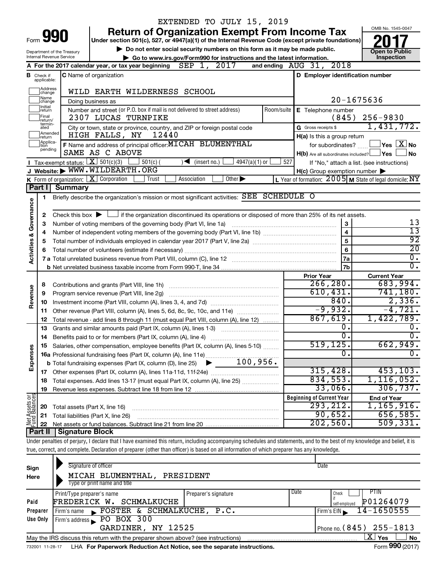|                                    |                                  |                                                                   | EXTENDED TO JULY 15, 2019                                                                                                                                                  |                                                                                                                |                                      |
|------------------------------------|----------------------------------|-------------------------------------------------------------------|----------------------------------------------------------------------------------------------------------------------------------------------------------------------------|----------------------------------------------------------------------------------------------------------------|--------------------------------------|
|                                    |                                  |                                                                   | <b>Return of Organization Exempt From Income Tax</b>                                                                                                                       |                                                                                                                | OMB No. 1545-0047                    |
| 990<br>Form                        |                                  |                                                                   | Under section 501(c), 527, or 4947(a)(1) of the Internal Revenue Code (except private foundations)                                                                         |                                                                                                                |                                      |
|                                    |                                  | Department of the Treasury                                        | Do not enter social security numbers on this form as it may be made public.                                                                                                |                                                                                                                | <b>Open to Public</b>                |
|                                    |                                  | Internal Revenue Service                                          | Go to www.irs.gov/Form990 for instructions and the latest information.                                                                                                     | and ending AUG 31, 2018                                                                                        | Inspection                           |
|                                    |                                  |                                                                   | A For the 2017 calendar year, or tax year beginning $\overline{SEP}$ 1, 2017                                                                                               |                                                                                                                |                                      |
|                                    | <b>B</b> Check if<br>applicable: |                                                                   | <b>C</b> Name of organization                                                                                                                                              | D Employer identification number                                                                               |                                      |
|                                    | Address<br>change                |                                                                   | WILD EARTH WILDERNESS SCHOOL                                                                                                                                               |                                                                                                                |                                      |
|                                    | Name<br> change                  |                                                                   | Doing business as                                                                                                                                                          | 20-1675636                                                                                                     |                                      |
|                                    | Initial<br>return                |                                                                   | Number and street (or P.O. box if mail is not delivered to street address)<br>Room/suite                                                                                   | E Telephone number                                                                                             |                                      |
|                                    | Final<br>return/                 |                                                                   | 2307 LUCAS TURNPIKE                                                                                                                                                        | (845)                                                                                                          | $256 - 9830$                         |
|                                    | termin-<br>ated                  |                                                                   | City or town, state or province, country, and ZIP or foreign postal code                                                                                                   | G Gross receipts \$                                                                                            | 1,431,772.                           |
|                                    | Amended<br>Ireturn<br>Applica-   |                                                                   | 12440<br>HIGH FALLS, NY                                                                                                                                                    | H(a) Is this a group return                                                                                    |                                      |
|                                    | tion<br>pending                  |                                                                   | F Name and address of principal officer: MICAH BLUMENTHAL                                                                                                                  | for subordinates?                                                                                              | $\exists$ Yes $\Box X$ No            |
|                                    |                                  | Tax-exempt status: $X \over 301(c)(3)$                            | SAME AS C ABOVE<br>$4947(a)(1)$ or                                                                                                                                         | H(b) Are all subordinates included? Ves                                                                        | l No                                 |
|                                    |                                  |                                                                   | $501(c)$ (<br>$\mathcal{I}$ (insert no.)<br>J Website: WWW.WILDEARTH.ORG                                                                                                   | 527<br>If "No," attach a list. (see instructions)                                                              |                                      |
|                                    |                                  |                                                                   | <b>K</b> Form of organization: $\boxed{\mathbf{X}}$ Corporation<br>Association<br>Other $\blacktriangleright$<br>Trust                                                     | $H(c)$ Group exemption number $\blacktriangleright$<br>L Year of formation: 2005 M State of legal domicile: NY |                                      |
|                                    | Part II                          | <b>Summary</b>                                                    |                                                                                                                                                                            |                                                                                                                |                                      |
|                                    | 1                                |                                                                   | Briefly describe the organization's mission or most significant activities: SEE SCHEDULE O                                                                                 |                                                                                                                |                                      |
|                                    |                                  |                                                                   |                                                                                                                                                                            |                                                                                                                |                                      |
|                                    | 2                                |                                                                   | Check this box $\blacktriangleright$ $\Box$ if the organization discontinued its operations or disposed of more than 25% of its net assets.                                |                                                                                                                |                                      |
|                                    | з                                | Number of voting members of the governing body (Part VI, line 1a) | 13                                                                                                                                                                         |                                                                                                                |                                      |
| <b>Activities &amp; Governance</b> | 4                                |                                                                   | 13                                                                                                                                                                         |                                                                                                                |                                      |
|                                    | 5                                |                                                                   |                                                                                                                                                                            | 5                                                                                                              | $\overline{92}$                      |
|                                    | 6                                |                                                                   |                                                                                                                                                                            | 6                                                                                                              | $\overline{20}$                      |
|                                    |                                  |                                                                   |                                                                                                                                                                            | 7a                                                                                                             | $\overline{0}$ .<br>$\overline{0}$ . |
|                                    |                                  |                                                                   |                                                                                                                                                                            | 7b                                                                                                             |                                      |
|                                    | 8                                |                                                                   | Contributions and grants (Part VIII, line 1h)                                                                                                                              | <b>Prior Year</b><br>266, 280.                                                                                 | <b>Current Year</b><br>683,994.      |
| Revenue                            | 9                                |                                                                   | Program service revenue (Part VIII, line 2g) [11] [11] matter contracts are program service revenue (Part VIII, line 2g)                                                   | 610, 431.                                                                                                      | 741, 180.                            |
|                                    | 10                               |                                                                   |                                                                                                                                                                            | 840.                                                                                                           | 2,336.                               |
|                                    | 11                               |                                                                   | Other revenue (Part VIII, column (A), lines 5, 6d, 8c, 9c, 10c, and 11e)                                                                                                   | $-9,932.$                                                                                                      | $-4,721.$                            |
|                                    | 12                               |                                                                   | Total revenue - add lines 8 through 11 (must equal Part VIII, column (A), line 12)                                                                                         | 867,619.                                                                                                       | 1,422,789.                           |
|                                    | 13                               |                                                                   | Grants and similar amounts paid (Part IX, column (A), lines 1-3)                                                                                                           | ο.                                                                                                             | $\overline{0}$ .                     |
|                                    | 14                               |                                                                   | Benefits paid to or for members (Part IX, column (A), line 4)                                                                                                              | σ.                                                                                                             | $\overline{0}$ .                     |
|                                    |                                  |                                                                   | Salaries, other compensation, employee benefits (Part IX, column (A), lines 5-10)                                                                                          | 519,125.                                                                                                       | 662,949.                             |
| Expenses                           |                                  |                                                                   |                                                                                                                                                                            | 0                                                                                                              |                                      |
|                                    |                                  |                                                                   |                                                                                                                                                                            |                                                                                                                |                                      |
|                                    | 17                               |                                                                   |                                                                                                                                                                            | 315,428.<br>834,553.                                                                                           | 453, 103.<br>1, 116, 052.            |
|                                    | 18                               |                                                                   | Total expenses. Add lines 13-17 (must equal Part IX, column (A), line 25)                                                                                                  | 33,066.                                                                                                        | 306, 737.                            |
|                                    | 19                               |                                                                   |                                                                                                                                                                            | <b>Beginning of Current Year</b>                                                                               | <b>End of Year</b>                   |
| Net Assets or<br>Fund Balances     | 20                               | Total assets (Part X, line 16)                                    |                                                                                                                                                                            | 293, 212.                                                                                                      | 1,165,916.                           |
|                                    | 21                               |                                                                   | Total liabilities (Part X, line 26)                                                                                                                                        | 90,652.                                                                                                        | 656,585.                             |
|                                    | 22                               |                                                                   |                                                                                                                                                                            | 202,560.                                                                                                       | 509, 331.                            |
|                                    |                                  | Part II   Signature Block                                         |                                                                                                                                                                            |                                                                                                                |                                      |
|                                    |                                  |                                                                   | Under penalties of perjury, I declare that I have examined this return, including accompanying schedules and statements, and to the best of my knowledge and belief, it is |                                                                                                                |                                      |
|                                    |                                  |                                                                   | true, correct, and complete. Declaration of preparer (other than officer) is based on all information of which preparer has any knowledge.                                 |                                                                                                                |                                      |
|                                    |                                  |                                                                   |                                                                                                                                                                            |                                                                                                                |                                      |
| Sign                               |                                  |                                                                   | Signature of officer                                                                                                                                                       | Date                                                                                                           |                                      |
| Here                               |                                  |                                                                   | MICAH BLUMENTHAL, PRESIDENT                                                                                                                                                |                                                                                                                |                                      |

| Here     | MICAH BLUMENTHAL, PRESIDENT<br>Type or print name and title                                                       |                      |                                                            |  |  |  |  |
|----------|-------------------------------------------------------------------------------------------------------------------|----------------------|------------------------------------------------------------|--|--|--|--|
| Paid     | Print/Type preparer's name<br>FREDERICK W. SCHMALKUCHE                                                            | Preparer's signature | Date<br><b>PTIN</b><br>Check<br>P01264079<br>self-employed |  |  |  |  |
| Preparer | FOSTER & SCHMALKUCHE, P.C.<br>Firm's name                                                                         |                      | $I$ Firm's EIN 14-1650555                                  |  |  |  |  |
| Use Only | Firm's address PO BOX 300<br>GARDINER, NY 12525                                                                   |                      | Phone no. $(845)$ 255-1813                                 |  |  |  |  |
|          |                                                                                                                   |                      |                                                            |  |  |  |  |
|          | ΧI<br>Yes<br><sup>∣</sup> No<br>May the IRS discuss this return with the preparer shown above? (see instructions) |                      |                                                            |  |  |  |  |
|          |                                                                                                                   |                      | $\cdots$                                                   |  |  |  |  |

732001 11-28-17 **For Paperwork Reduction Act Notice, see the separate instructions.** LHA Form (2017)

Form **990** (2017)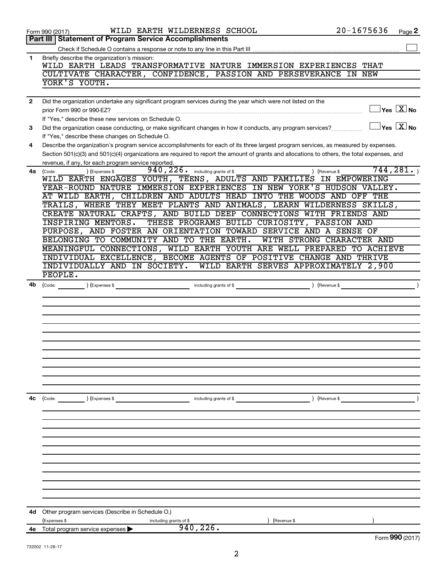|              | WILD EARTH WILDERNESS SCHOOL<br>Form 990 (2017)                                                                                              | $20 - 1675636$            | Page 2                                  |
|--------------|----------------------------------------------------------------------------------------------------------------------------------------------|---------------------------|-----------------------------------------|
|              | <b>Part III   Statement of Program Service Accomplishments</b>                                                                               |                           |                                         |
|              |                                                                                                                                              |                           |                                         |
| $\mathbf{1}$ | Briefly describe the organization's mission:                                                                                                 |                           |                                         |
|              | WILD EARTH LEADS TRANSFORMATIVE NATURE IMMERSION EXPERIENCES THAT                                                                            |                           |                                         |
|              | CULTIVATE CHARACTER, CONFIDENCE, PASSION AND PERSEVERANCE IN NEW                                                                             |                           |                                         |
|              | YORK'S YOUTH.                                                                                                                                |                           |                                         |
|              |                                                                                                                                              |                           |                                         |
| $\mathbf{2}$ | Did the organization undertake any significant program services during the year which were not listed on the                                 |                           |                                         |
|              | prior Form 990 or 990-EZ?                                                                                                                    |                           | $\exists$ Yes $\boxed{\text{X}}$ No     |
|              | If "Yes," describe these new services on Schedule O.                                                                                         |                           |                                         |
| 3            | Did the organization cease conducting, or make significant changes in how it conducts, any program services?                                 |                           | $\Box$ Yes $[\overline{\mathrm{X}}]$ No |
|              | If "Yes," describe these changes on Schedule O.                                                                                              |                           |                                         |
| 4            | Describe the organization's program service accomplishments for each of its three largest program services, as measured by expenses.         |                           |                                         |
|              | Section 501(c)(3) and 501(c)(4) organizations are required to report the amount of grants and allocations to others, the total expenses, and |                           |                                         |
| 4a           | revenue, if any, for each program service reported.<br>$940, 226$ $\cdot$ including grants of \$<br>(Expenses \$                             | ) (Revenue \$             | 744, 281.                               |
|              | (Code:<br>WILD EARTH ENGAGES YOUTH, TEENS, ADULTS AND FAMILIES IN EMPOWERING                                                                 |                           |                                         |
|              | YEAR-ROUND NATURE IMMERSION EXPERIENCES IN NEW YORK'S HUDSON VALLEY.                                                                         |                           |                                         |
|              | AT WILD EARTH, CHILDREN AND ADULTS HEAD INTO THE WOODS AND OFF THE                                                                           |                           |                                         |
|              | TRAILS, WHERE THEY MEET PLANTS AND ANIMALS, LEARN WILDERNESS SKILLS,                                                                         |                           |                                         |
|              | CREATE NATURAL CRAFTS, AND BUILD DEEP CONNECTIONS WITH FRIENDS AND                                                                           |                           |                                         |
|              | THESE PROGRAMS BUILD CURIOSITY, PASSION AND<br><b>INSPIRING MENTORS.</b>                                                                     |                           |                                         |
|              | PURPOSE, AND FOSTER AN ORIENTATION TOWARD SERVICE AND A SENSE OF                                                                             |                           |                                         |
|              | BELONGING TO COMMUNITY AND TO THE EARTH.                                                                                                     | WITH STRONG CHARACTER AND |                                         |
|              | MEANINGFUL CONNECTIONS, WILD EARTH YOUTH ARE WELL PREPARED TO ACHIEVE                                                                        |                           |                                         |
|              | INDIVIDUAL EXCELLENCE, BECOME AGENTS OF POSITIVE CHANGE AND THRIVE                                                                           |                           |                                         |
|              | INDIVIDUALLY AND IN SOCIETY. WILD EARTH SERVES APPROXIMATELY 2,900                                                                           |                           |                                         |
|              | PEOPLE.                                                                                                                                      |                           |                                         |
| 4b           |                                                                                                                                              |                           |                                         |
|              |                                                                                                                                              |                           |                                         |
|              |                                                                                                                                              |                           |                                         |
|              |                                                                                                                                              |                           |                                         |
|              |                                                                                                                                              |                           |                                         |
|              |                                                                                                                                              |                           |                                         |
|              |                                                                                                                                              |                           |                                         |
|              |                                                                                                                                              |                           |                                         |
|              |                                                                                                                                              |                           |                                         |
|              |                                                                                                                                              |                           |                                         |
|              |                                                                                                                                              |                           |                                         |
|              |                                                                                                                                              |                           |                                         |
| 4c           | (Code: ) (Expenses \$<br>including grants of \$                                                                                              | ) (Revenue \$             |                                         |
|              |                                                                                                                                              |                           |                                         |
|              |                                                                                                                                              |                           |                                         |
|              |                                                                                                                                              |                           |                                         |
|              |                                                                                                                                              |                           |                                         |
|              |                                                                                                                                              |                           |                                         |
|              |                                                                                                                                              |                           |                                         |
|              |                                                                                                                                              |                           |                                         |
|              |                                                                                                                                              |                           |                                         |
|              |                                                                                                                                              |                           |                                         |
|              |                                                                                                                                              |                           |                                         |
|              |                                                                                                                                              |                           |                                         |
|              |                                                                                                                                              |                           |                                         |
| 4d           | Other program services (Describe in Schedule O.)                                                                                             |                           |                                         |
|              | (Expenses \$<br>(Revenue \$<br>including grants of \$                                                                                        |                           |                                         |
|              | 940, 226.<br><b>4e</b> Total program service expenses $\blacktriangleright$                                                                  |                           |                                         |
|              |                                                                                                                                              |                           | Form 990 (2017)                         |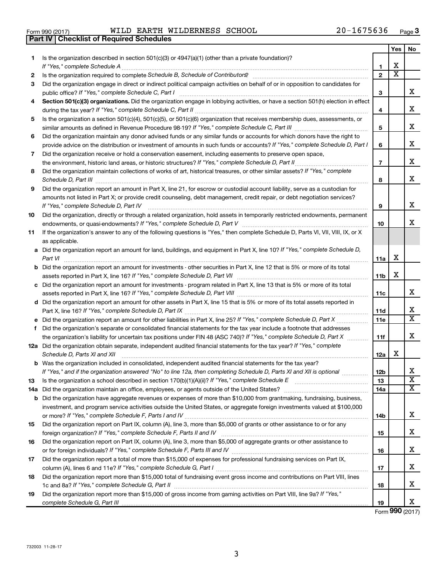| Form 990 (2017) |  |  |
|-----------------|--|--|

Form 990 (2017) Page WILD EARTH WILDERNESS SCHOOL 20-1675636

|     | Part IV   Checklist of Required Schedules                                                                                                                                                                                                                                                                                                                                                                                         |                 |                         |                              |
|-----|-----------------------------------------------------------------------------------------------------------------------------------------------------------------------------------------------------------------------------------------------------------------------------------------------------------------------------------------------------------------------------------------------------------------------------------|-----------------|-------------------------|------------------------------|
|     |                                                                                                                                                                                                                                                                                                                                                                                                                                   |                 | Yes                     | No                           |
| 1   | Is the organization described in section $501(c)(3)$ or $4947(a)(1)$ (other than a private foundation)?                                                                                                                                                                                                                                                                                                                           |                 |                         |                              |
|     |                                                                                                                                                                                                                                                                                                                                                                                                                                   | 1               | х                       |                              |
| 2   | Is the organization required to complete Schedule B, Schedule of Contributors? [11] The organization required to complete Schedule B, Schedule of Contributors?                                                                                                                                                                                                                                                                   | $\mathbf{2}$    | $\overline{\textbf{X}}$ |                              |
| 3   | Did the organization engage in direct or indirect political campaign activities on behalf of or in opposition to candidates for                                                                                                                                                                                                                                                                                                   |                 |                         |                              |
|     |                                                                                                                                                                                                                                                                                                                                                                                                                                   | 3               |                         | x                            |
| 4   | Section 501(c)(3) organizations. Did the organization engage in lobbying activities, or have a section 501(h) election in effect                                                                                                                                                                                                                                                                                                  |                 |                         |                              |
|     |                                                                                                                                                                                                                                                                                                                                                                                                                                   | 4               |                         | x                            |
| 5   | Is the organization a section 501(c)(4), 501(c)(5), or 501(c)(6) organization that receives membership dues, assessments, or                                                                                                                                                                                                                                                                                                      |                 |                         |                              |
|     |                                                                                                                                                                                                                                                                                                                                                                                                                                   | 5               |                         | x                            |
| 6   | Did the organization maintain any donor advised funds or any similar funds or accounts for which donors have the right to                                                                                                                                                                                                                                                                                                         |                 |                         |                              |
|     | provide advice on the distribution or investment of amounts in such funds or accounts? If "Yes," complete Schedule D, Part I                                                                                                                                                                                                                                                                                                      | 6               |                         | х                            |
| 7   | Did the organization receive or hold a conservation easement, including easements to preserve open space,                                                                                                                                                                                                                                                                                                                         |                 |                         |                              |
|     |                                                                                                                                                                                                                                                                                                                                                                                                                                   | $\overline{7}$  |                         | х                            |
| 8   | Did the organization maintain collections of works of art, historical treasures, or other similar assets? If "Yes," complete                                                                                                                                                                                                                                                                                                      |                 |                         |                              |
|     | Schedule D, Part III <b>Marting Constructs</b> 2014 11 2014 12:00 12:00 12:00 12:00 12:00 12:00 12:00 12:00 12:00 12:00 12:00 12:00 12:00 12:00 12:00 12:00 12:00 12:00 12:00 12:00 12:00 12:00 12:00 12:00 12:00 12:00 12:00 12:00                                                                                                                                                                                               | 8               |                         | х                            |
| 9   | Did the organization report an amount in Part X, line 21, for escrow or custodial account liability, serve as a custodian for                                                                                                                                                                                                                                                                                                     |                 |                         |                              |
|     | amounts not listed in Part X; or provide credit counseling, debt management, credit repair, or debt negotiation services?                                                                                                                                                                                                                                                                                                         |                 |                         |                              |
|     | If "Yes," complete Schedule D, Part IV                                                                                                                                                                                                                                                                                                                                                                                            | 9               |                         | x                            |
| 10  | Did the organization, directly or through a related organization, hold assets in temporarily restricted endowments, permanent                                                                                                                                                                                                                                                                                                     |                 |                         |                              |
|     |                                                                                                                                                                                                                                                                                                                                                                                                                                   | 10              |                         | x                            |
| 11  | If the organization's answer to any of the following questions is "Yes," then complete Schedule D, Parts VI, VII, VIII, IX, or X                                                                                                                                                                                                                                                                                                  |                 |                         |                              |
|     | as applicable.                                                                                                                                                                                                                                                                                                                                                                                                                    |                 |                         |                              |
|     | a Did the organization report an amount for land, buildings, and equipment in Part X, line 10? If "Yes," complete Schedule D,                                                                                                                                                                                                                                                                                                     |                 |                         |                              |
|     |                                                                                                                                                                                                                                                                                                                                                                                                                                   | 11a             | х                       |                              |
|     | <b>b</b> Did the organization report an amount for investments - other securities in Part X, line 12 that is 5% or more of its total                                                                                                                                                                                                                                                                                              |                 |                         |                              |
|     |                                                                                                                                                                                                                                                                                                                                                                                                                                   | 11 <sub>b</sub> | x                       |                              |
|     | c Did the organization report an amount for investments - program related in Part X, line 13 that is 5% or more of its total                                                                                                                                                                                                                                                                                                      |                 |                         |                              |
|     |                                                                                                                                                                                                                                                                                                                                                                                                                                   | 11c             |                         | х                            |
|     | d Did the organization report an amount for other assets in Part X, line 15 that is 5% or more of its total assets reported in                                                                                                                                                                                                                                                                                                    |                 |                         |                              |
|     |                                                                                                                                                                                                                                                                                                                                                                                                                                   | 11d             |                         | х<br>$\overline{\textbf{X}}$ |
|     |                                                                                                                                                                                                                                                                                                                                                                                                                                   | 11e             |                         |                              |
| f   | Did the organization's separate or consolidated financial statements for the tax year include a footnote that addresses                                                                                                                                                                                                                                                                                                           |                 |                         | х                            |
|     | the organization's liability for uncertain tax positions under FIN 48 (ASC 740)? If "Yes," complete Schedule D, Part X                                                                                                                                                                                                                                                                                                            | 11f             |                         |                              |
|     | 12a Did the organization obtain separate, independent audited financial statements for the tax year? If "Yes," complete<br>Schedule D, Parts XI and XII                                                                                                                                                                                                                                                                           |                 | х                       |                              |
|     | $\begin{minipage}[b]{0.5\textwidth} \centering \begin{tabular}{ c c c c c } \hline \multicolumn{1}{ c }{\textbf{0.5}} \multicolumn{1}{ c }{\textbf{0.5}} \multicolumn{1}{ c }{\textbf{0.5}} \multicolumn{1}{ c }{\textbf{0.5}} \multicolumn{1}{ c }{\textbf{0.5}} \multicolumn{1}{ c }{\textbf{0.5}} \multicolumn{1}{ c }{\textbf{0.5}} \multicolumn{1}{ c }{\textbf{0.5}} \multicolumn{1}{ c }{\textbf{0.5}} \multicolumn{1}{ c$ | 12a             |                         |                              |
|     | <b>b</b> Was the organization included in consolidated, independent audited financial statements for the tax year?<br>If "Yes," and if the organization answered "No" to line 12a, then completing Schedule D, Parts XI and XII is optional <i>www.www</i>                                                                                                                                                                        | 12 <sub>b</sub> |                         | х                            |
| 13  |                                                                                                                                                                                                                                                                                                                                                                                                                                   | 13              |                         | $\overline{\textbf{x}}$      |
| 14a |                                                                                                                                                                                                                                                                                                                                                                                                                                   | 14a             |                         | х                            |
| b   | Did the organization have aggregate revenues or expenses of more than \$10,000 from grantmaking, fundraising, business,                                                                                                                                                                                                                                                                                                           |                 |                         |                              |
|     | investment, and program service activities outside the United States, or aggregate foreign investments valued at \$100,000                                                                                                                                                                                                                                                                                                        |                 |                         |                              |
|     |                                                                                                                                                                                                                                                                                                                                                                                                                                   | 14b             |                         | х                            |
| 15  | Did the organization report on Part IX, column (A), line 3, more than \$5,000 of grants or other assistance to or for any                                                                                                                                                                                                                                                                                                         |                 |                         |                              |
|     |                                                                                                                                                                                                                                                                                                                                                                                                                                   | 15              |                         | х                            |
| 16  | Did the organization report on Part IX, column (A), line 3, more than \$5,000 of aggregate grants or other assistance to                                                                                                                                                                                                                                                                                                          |                 |                         |                              |
|     |                                                                                                                                                                                                                                                                                                                                                                                                                                   | 16              |                         | х                            |
| 17  | Did the organization report a total of more than \$15,000 of expenses for professional fundraising services on Part IX,                                                                                                                                                                                                                                                                                                           |                 |                         |                              |
|     |                                                                                                                                                                                                                                                                                                                                                                                                                                   | 17              |                         | х                            |
| 18  | Did the organization report more than \$15,000 total of fundraising event gross income and contributions on Part VIII, lines                                                                                                                                                                                                                                                                                                      |                 |                         |                              |
|     |                                                                                                                                                                                                                                                                                                                                                                                                                                   | 18              |                         | х                            |
| 19  | Did the organization report more than \$15,000 of gross income from gaming activities on Part VIII, line 9a? If "Yes,"                                                                                                                                                                                                                                                                                                            |                 |                         |                              |
|     |                                                                                                                                                                                                                                                                                                                                                                                                                                   | 19              |                         | x                            |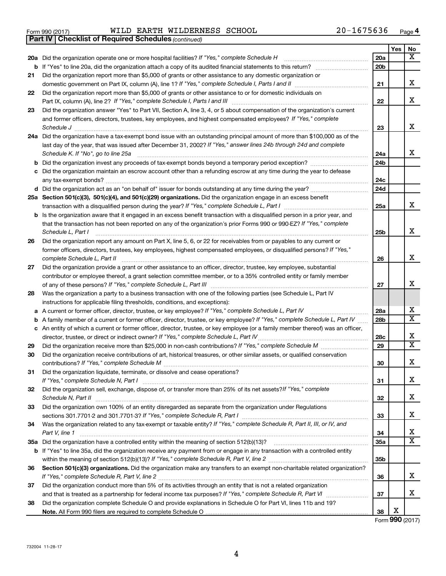|  | Form 990 (2017) |
|--|-----------------|

Form 990 (2017) Page WILD EARTH WILDERNESS SCHOOL 20-1675636

*(continued)* **Part IV Checklist of Required Schedules**

|          |                                                                                                                                                                                                                             |                 | Yes | No                      |
|----------|-----------------------------------------------------------------------------------------------------------------------------------------------------------------------------------------------------------------------------|-----------------|-----|-------------------------|
|          | 20a Did the organization operate one or more hospital facilities? If "Yes," complete Schedule H                                                                                                                             | 20a             |     | x                       |
|          | <b>b</b> If "Yes" to line 20a, did the organization attach a copy of its audited financial statements to this return?                                                                                                       | 20 <sub>b</sub> |     |                         |
| 21       | Did the organization report more than \$5,000 of grants or other assistance to any domestic organization or                                                                                                                 |                 |     |                         |
|          |                                                                                                                                                                                                                             | 21              |     | x                       |
| 22       | Did the organization report more than \$5,000 of grants or other assistance to or for domestic individuals on                                                                                                               |                 |     |                         |
|          | Part IX, column (A), line 2? If "Yes," complete Schedule I, Parts I and III                                                                                                                                                 | 22              |     | X                       |
| 23       | Did the organization answer "Yes" to Part VII, Section A, line 3, 4, or 5 about compensation of the organization's current                                                                                                  |                 |     |                         |
|          | and former officers, directors, trustees, key employees, and highest compensated employees? If "Yes," complete                                                                                                              |                 |     |                         |
|          | Schedule J                                                                                                                                                                                                                  | 23              |     | х                       |
|          | 24a Did the organization have a tax-exempt bond issue with an outstanding principal amount of more than \$100,000 as of the                                                                                                 |                 |     |                         |
|          | last day of the year, that was issued after December 31, 2002? If "Yes," answer lines 24b through 24d and complete                                                                                                          |                 |     |                         |
|          | Schedule K. If "No", go to line 25a                                                                                                                                                                                         | 24a             |     | X                       |
| b        |                                                                                                                                                                                                                             | 24 <sub>b</sub> |     |                         |
| с        | Did the organization maintain an escrow account other than a refunding escrow at any time during the year to defease                                                                                                        |                 |     |                         |
|          | any tax-exempt bonds?                                                                                                                                                                                                       | 24c             |     |                         |
|          |                                                                                                                                                                                                                             | 24d             |     |                         |
|          | 25a Section 501(c)(3), 501(c)(4), and 501(c)(29) organizations. Did the organization engage in an excess benefit                                                                                                            |                 |     |                         |
|          |                                                                                                                                                                                                                             | 25a             |     | x                       |
| b        | Is the organization aware that it engaged in an excess benefit transaction with a disqualified person in a prior year, and                                                                                                  |                 |     |                         |
|          | that the transaction has not been reported on any of the organization's prior Forms 990 or 990-EZ? If "Yes," complete                                                                                                       |                 |     |                         |
|          | Schedule L, Part I                                                                                                                                                                                                          | 25b             |     | x                       |
| 26       | Did the organization report any amount on Part X, line 5, 6, or 22 for receivables from or payables to any current or                                                                                                       |                 |     |                         |
|          | former officers, directors, trustees, key employees, highest compensated employees, or disqualified persons? If "Yes,"                                                                                                      |                 |     |                         |
|          | complete Schedule L, Part II                                                                                                                                                                                                | 26              |     | x                       |
| 27       | Did the organization provide a grant or other assistance to an officer, director, trustee, key employee, substantial                                                                                                        |                 |     |                         |
|          | contributor or employee thereof, a grant selection committee member, or to a 35% controlled entity or family member                                                                                                         |                 |     |                         |
|          |                                                                                                                                                                                                                             | 27              |     | х                       |
| 28       | Was the organization a party to a business transaction with one of the following parties (see Schedule L, Part IV                                                                                                           |                 |     |                         |
|          | instructions for applicable filing thresholds, conditions, and exceptions):                                                                                                                                                 |                 |     | х                       |
| а        | A current or former officer, director, trustee, or key employee? If "Yes," complete Schedule L, Part IV                                                                                                                     | 28a             |     | $\overline{\text{X}}$   |
| b        | A family member of a current or former officer, director, trustee, or key employee? If "Yes," complete Schedule L, Part IV                                                                                                  | 28 <sub>b</sub> |     |                         |
|          | c An entity of which a current or former officer, director, trustee, or key employee (or a family member thereof) was an officer,<br>director, trustee, or direct or indirect owner? If "Yes," complete Schedule L, Part IV |                 |     | Х                       |
|          |                                                                                                                                                                                                                             | 28c<br>29       |     | $\overline{\texttt{x}}$ |
| 29<br>30 | Did the organization receive contributions of art, historical treasures, or other similar assets, or qualified conservation                                                                                                 |                 |     |                         |
|          |                                                                                                                                                                                                                             | 30              |     | X                       |
| 31       | Did the organization liquidate, terminate, or dissolve and cease operations?                                                                                                                                                |                 |     |                         |
|          |                                                                                                                                                                                                                             | 31              |     | х                       |
| 32       | Did the organization sell, exchange, dispose of, or transfer more than 25% of its net assets? If "Yes," complete                                                                                                            |                 |     |                         |
|          |                                                                                                                                                                                                                             | 32              |     | х                       |
| 33       | Did the organization own 100% of an entity disregarded as separate from the organization under Regulations                                                                                                                  |                 |     |                         |
|          |                                                                                                                                                                                                                             | 33              |     | х                       |
| 34       | Was the organization related to any tax-exempt or taxable entity? If "Yes," complete Schedule R, Part II, III, or IV, and                                                                                                   |                 |     |                         |
|          | Part V, line 1                                                                                                                                                                                                              | 34              |     | x                       |
|          |                                                                                                                                                                                                                             | <b>35a</b>      |     | $\overline{\mathbf{X}}$ |
|          | b If "Yes" to line 35a, did the organization receive any payment from or engage in any transaction with a controlled entity                                                                                                 |                 |     |                         |
|          |                                                                                                                                                                                                                             | 35b             |     |                         |
| 36       | Section 501(c)(3) organizations. Did the organization make any transfers to an exempt non-charitable related organization?                                                                                                  |                 |     |                         |
|          |                                                                                                                                                                                                                             | 36              |     | x                       |
| 37       | Did the organization conduct more than 5% of its activities through an entity that is not a related organization                                                                                                            |                 |     |                         |
|          |                                                                                                                                                                                                                             | 37              |     | x                       |
| 38       | Did the organization complete Schedule O and provide explanations in Schedule O for Part VI, lines 11b and 19?                                                                                                              |                 |     |                         |
|          |                                                                                                                                                                                                                             | 38              | х   |                         |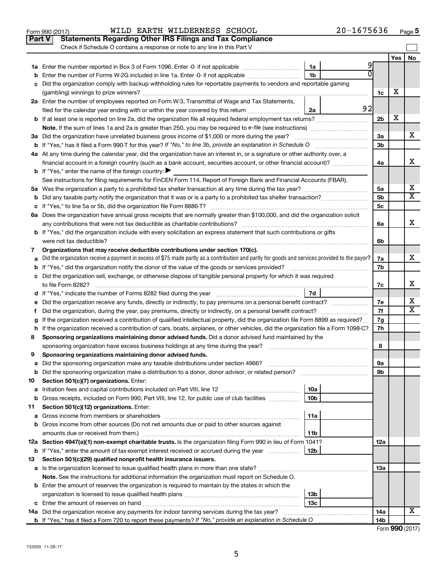|               | $20 - 1675636$<br>WILD EARTH WILDERNESS SCHOOL<br>Form 990 (2017)                                                                                                                                                               |                |     | Page 5                  |
|---------------|---------------------------------------------------------------------------------------------------------------------------------------------------------------------------------------------------------------------------------|----------------|-----|-------------------------|
| <b>Part V</b> | <b>Statements Regarding Other IRS Filings and Tax Compliance</b>                                                                                                                                                                |                |     |                         |
|               | Check if Schedule O contains a response or note to any line in this Part V                                                                                                                                                      |                |     |                         |
|               |                                                                                                                                                                                                                                 |                | Yes | No                      |
|               | 1a                                                                                                                                                                                                                              |                |     |                         |
| b             | Enter the number of Forms W-2G included in line 1a. Enter -0- if not applicable<br>1b                                                                                                                                           |                |     |                         |
| с             | Did the organization comply with backup withholding rules for reportable payments to vendors and reportable gaming                                                                                                              |                |     |                         |
|               |                                                                                                                                                                                                                                 | 1c             | х   |                         |
|               | 2a Enter the number of employees reported on Form W-3, Transmittal of Wage and Tax Statements,                                                                                                                                  |                |     |                         |
|               | 92<br>filed for the calendar year ending with or within the year covered by this return<br>2a                                                                                                                                   |                |     |                         |
| b             | If at least one is reported on line 2a, did the organization file all required federal employment tax returns?                                                                                                                  | 2 <sub>b</sub> | X   |                         |
|               | Note. If the sum of lines 1a and 2a is greater than 250, you may be required to e-file (see instructions) <i>managereroum</i>                                                                                                   |                |     |                         |
|               | 3a Did the organization have unrelated business gross income of \$1,000 or more during the year?                                                                                                                                | За             |     | х                       |
|               | <b>b</b> If "Yes," has it filed a Form 990-T for this year? If "No," to line 3b, provide an explanation in Schedule O                                                                                                           | 3b             |     |                         |
|               | 4a At any time during the calendar year, did the organization have an interest in, or a signature or other authority over, a                                                                                                    |                |     |                         |
|               | financial account in a foreign country (such as a bank account, securities account, or other financial account)?                                                                                                                | 4a             |     | x                       |
|               | <b>b</b> If "Yes," enter the name of the foreign country: $\blacktriangleright$                                                                                                                                                 |                |     |                         |
|               | See instructions for filing requirements for FinCEN Form 114, Report of Foreign Bank and Financial Accounts (FBAR).                                                                                                             |                |     |                         |
|               |                                                                                                                                                                                                                                 | 5a             |     | х                       |
|               |                                                                                                                                                                                                                                 | 5b             |     | $\overline{\mathtt{x}}$ |
|               |                                                                                                                                                                                                                                 | 5c             |     |                         |
|               | 6a Does the organization have annual gross receipts that are normally greater than \$100,000, and did the organization solicit                                                                                                  |                |     |                         |
|               | any contributions that were not tax deductible as charitable contributions?                                                                                                                                                     | 6a             |     | x                       |
|               | <b>b</b> If "Yes," did the organization include with every solicitation an express statement that such contributions or gifts                                                                                                   |                |     |                         |
|               | were not tax deductible?                                                                                                                                                                                                        | 6b             |     |                         |
| 7             | Organizations that may receive deductible contributions under section 170(c).                                                                                                                                                   |                |     |                         |
|               | Did the organization receive a payment in excess of \$75 made partly as a contribution and partly for goods and services provided to the payor?                                                                                 | 7a             |     | x                       |
| a             |                                                                                                                                                                                                                                 | 7b             |     |                         |
| b             |                                                                                                                                                                                                                                 |                |     |                         |
|               | c Did the organization sell, exchange, or otherwise dispose of tangible personal property for which it was required<br>to file Form 8282?                                                                                       |                |     | х                       |
|               | 7d                                                                                                                                                                                                                              | 7c             |     |                         |
|               |                                                                                                                                                                                                                                 | 7e             |     | х                       |
| е<br>f.       | Did the organization receive any funds, directly or indirectly, to pay premiums on a personal benefit contract?<br>Did the organization, during the year, pay premiums, directly or indirectly, on a personal benefit contract? | 7f             |     | $\overline{\mathtt{x}}$ |
|               | If the organization received a contribution of qualified intellectual property, did the organization file Form 8899 as required?                                                                                                | 7g             |     |                         |
| g<br>h.       | If the organization received a contribution of cars, boats, airplanes, or other vehicles, did the organization file a Form 1098-C?                                                                                              | 7h             |     |                         |
| 8             | Sponsoring organizations maintaining donor advised funds. Did a donor advised fund maintained by the                                                                                                                            |                |     |                         |
|               | sponsoring organization have excess business holdings at any time during the year?                                                                                                                                              | 8              |     |                         |
| 9             | Sponsoring organizations maintaining donor advised funds.                                                                                                                                                                       |                |     |                         |
| а             | Did the sponsoring organization make any taxable distributions under section 4966?                                                                                                                                              | 9а             |     |                         |
| b             |                                                                                                                                                                                                                                 | 9b             |     |                         |
| 10            | Section 501(c)(7) organizations. Enter:                                                                                                                                                                                         |                |     |                         |
| а             | 10a                                                                                                                                                                                                                             |                |     |                         |
| b             | Gross receipts, included on Form 990, Part VIII, line 12, for public use of club facilities<br>10 <sub>b</sub>                                                                                                                  |                |     |                         |
| 11            | Section 501(c)(12) organizations. Enter:                                                                                                                                                                                        |                |     |                         |
| а             | 11a                                                                                                                                                                                                                             |                |     |                         |
| b             | Gross income from other sources (Do not net amounts due or paid to other sources against                                                                                                                                        |                |     |                         |
|               | 11b                                                                                                                                                                                                                             |                |     |                         |
|               | 12a Section 4947(a)(1) non-exempt charitable trusts. Is the organization filing Form 990 in lieu of Form 1041?                                                                                                                  | 12a            |     |                         |
| b             | If "Yes," enter the amount of tax-exempt interest received or accrued during the year<br>12b                                                                                                                                    |                |     |                         |
| 13            | Section 501(c)(29) qualified nonprofit health insurance issuers.                                                                                                                                                                |                |     |                         |
| а             |                                                                                                                                                                                                                                 | 1За            |     |                         |
|               | Note. See the instructions for additional information the organization must report on Schedule O.                                                                                                                               |                |     |                         |
|               | Enter the amount of reserves the organization is required to maintain by the states in which the                                                                                                                                |                |     |                         |
| b             | 13b                                                                                                                                                                                                                             |                |     |                         |
|               | 13с                                                                                                                                                                                                                             |                |     |                         |
|               | <b>14a</b> Did the organization receive any payments for indoor tanning services during the tax year?                                                                                                                           | 14a            |     | X                       |
|               |                                                                                                                                                                                                                                 | 14b            |     |                         |
|               |                                                                                                                                                                                                                                 |                |     |                         |

| Form 990 (2017) |
|-----------------|
|-----------------|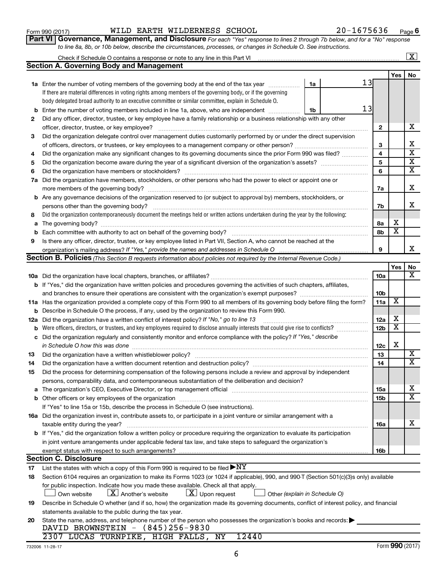|              | body delegated broad authority to an executive committee or similar committee, explain in Schedule O.                               |    |  |   |  |  |
|--------------|-------------------------------------------------------------------------------------------------------------------------------------|----|--|---|--|--|
| b            | Enter the number of voting members included in line 1a, above, who are independent                                                  | 1b |  | 1 |  |  |
| $\mathbf{2}$ | Did any officer, director, trustee, or key employee have a family relationship or a business relationship with any other            |    |  |   |  |  |
|              | officer, director, trustee, or key employee?                                                                                        |    |  |   |  |  |
| 3            | Did the organization delegate control over management duties customarily performed by or under the direct supervision               |    |  |   |  |  |
|              |                                                                                                                                     |    |  |   |  |  |
| 4            | Did the organization make any significant changes to its governing documents since the prior Form 990 was filed?                    |    |  |   |  |  |
| 5            | Did the organization become aware during the year of a significant diversion of the organization's assets?                          |    |  |   |  |  |
| 6            |                                                                                                                                     |    |  |   |  |  |
| 7a           | Did the organization have members, stockholders, or other persons who had the power to elect or appoint one or                      |    |  |   |  |  |
|              | more members of the governing body?                                                                                                 |    |  |   |  |  |
| b            | Are any governance decisions of the organization reserved to (or subject to approval by) members, stockholders, or                  |    |  |   |  |  |
|              | persons other than the governing body?                                                                                              |    |  |   |  |  |
| 8            | Did the organization contemporaneously document the meetings held or written actions undertaken during the year by the following:   |    |  |   |  |  |
| а            | The governing body?                                                                                                                 |    |  |   |  |  |
| b            |                                                                                                                                     |    |  |   |  |  |
| 9            | Is there any officer, director, trustee, or key employee listed in Part VII, Section A, who cannot be reached at the                |    |  |   |  |  |
|              |                                                                                                                                     |    |  |   |  |  |
|              | Section B. Policies (This Section B requests information about policies not required by the Internal Revenue Code.)                 |    |  |   |  |  |
|              |                                                                                                                                     |    |  |   |  |  |
|              |                                                                                                                                     |    |  |   |  |  |
|              | <b>b</b> If "Yes," did the organization have written policies and procedures governing the activities of such chapters, affiliates, |    |  |   |  |  |
|              | and branches to ensure their operations are consistent with the organization's exempt purposes?                                     |    |  |   |  |  |
|              | 11a Has the organization provided a complete copy of this Form 990 to all members of its governing body before filing the form?     |    |  |   |  |  |
|              | <b>b</b> Describe in Schedule O the process, if any, used by the organization to review this Form 990.                              |    |  |   |  |  |
|              | 12a Did the organization have a written conflict of interest policy? If "No," go to line 13                                         |    |  |   |  |  |
| b            | Were officers, directors, or trustees, and key employees required to disclose annually interests that could give rise to conflicts? |    |  |   |  |  |
| с            | Did the organization regularly and consistently monitor and enforce compliance with the policy? If "Yes," describe                  |    |  |   |  |  |
| 13           | Did the organization have a written whistleblower policy?                                                                           |    |  |   |  |  |

**1a** Enter the number of voting members of the governing body at the end of the tax year *www.fronoming* 

Check if Schedule O contains a response or note to any line in this Part VI

**Section A. Governing Body and Management**

If there are material differences in voting rights among members of the governing body, or if the governing

*to line 8a, 8b, or 10b below, describe the circumstances, processes, or changes in Schedule O. See instructions.*

#### **14 15 a** The organization's CEO, Executive Director, or top management official www.community.community.community.com **b** Other officers or key employees of the organization ~~~~~~~~~~~~~~~~~~~~~~~~~~~~~~~~~~~~ Did the organization have a written document retention and destruction policy? www.community.community.communi Did the process for determining compensation of the following persons include a review and approval by independent persons, comparability data, and contemporaneous substantiation of the deliberation and decision?

| If "Yes" to line 15a or 15b, describe the process in Schedule O (see instructions).                                                   |            |   |
|---------------------------------------------------------------------------------------------------------------------------------------|------------|---|
| 16a Did the organization invest in, contribute assets to, or participate in a joint venture or similar arrangement with a             |            |   |
| taxable entity during the year?                                                                                                       | 16a        | X |
| <b>b</b> If "Yes," did the organization follow a written policy or procedure requiring the organization to evaluate its participation |            |   |
| in joint venture arrangements under applicable federal tax law, and take steps to safeguard the organization's                        |            |   |
| exempt status with respect to such arrangements?                                                                                      | <b>16b</b> |   |

#### **Section C. Disclosure**

**17** List the states with which a copy of this Form 990 is required to be filed  $\blacktriangleright{\rm NY}$ 

| 18 | Section 6104 requires an organization to make its Forms 1023 (or 1024 if applicable), 990, and 990-T (Section 501(c)(3)s only) available          |  |
|----|---------------------------------------------------------------------------------------------------------------------------------------------------|--|
|    | for public inspection. Indicate how you made these available. Check all that apply.                                                               |  |
|    | Own website $\boxed{\textbf{X}}$ Another's website $\boxed{\textbf{X}}$ Upon request $\boxed{\phantom{\textbf{X}}}$ Other (explain in Schedule O) |  |
| 19 | Describe in Schedule O whether (and if so, how) the organization made its governing documents, conflict of interest policy, and financial         |  |

| 19 Describe in Schedule O whether (and if so, how) the organization made its governing documents, conflict of interest policy, and financial |
|----------------------------------------------------------------------------------------------------------------------------------------------|
| statements available to the public during the tax year.                                                                                      |

13

13

**2**

**7a**

**7b**

**8a 8b** X X

**9**

**10a**

**10b 11a**

**12a 12b**

**12c 13 14**

**15a 15b** **Yes No**

X

X X

X

**1a**

| rm 990 (2017) |  |
|---------------|--|
|---------------|--|

 $\boxed{\text{X}}$ 

X

X  $\overline{\text{x}}$ X X

X

X

X

X

X X

X  $\overline{\texttt{x}}$ 

**Yes No**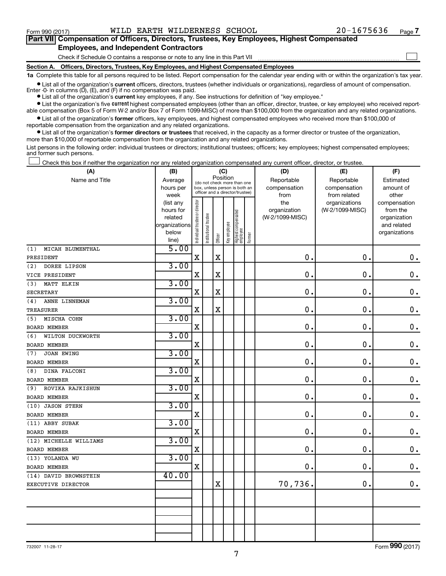$\Box$ 

| Part VII Compensation of Officers, Directors, Trustees, Key Employees, Highest Compensated |  |  |
|--------------------------------------------------------------------------------------------|--|--|
| <b>Employees, and Independent Contractors</b>                                              |  |  |

#### Check if Schedule O contains a response or note to any line in this Part VII

**Section A. Officers, Directors, Trustees, Key Employees, and Highest Compensated Employees**

**1a**  Complete this table for all persons required to be listed. Report compensation for the calendar year ending with or within the organization's tax year.

**•** List all of the organization's current officers, directors, trustees (whether individuals or organizations), regardless of amount of compensation. Enter  $-0$ - in columns  $(D)$ ,  $(E)$ , and  $(F)$  if no compensation was paid.

**•** List all of the organization's **current** key employees, if any. See instructions for definition of "key employee."

**•** List the organization's five current highest compensated employees (other than an officer, director, trustee, or key employee) who received reportable compensation (Box 5 of Form W-2 and/or Box 7 of Form 1099-MISC) of more than \$100,000 from the organization and any related organizations.

**•** List all of the organization's former officers, key employees, and highest compensated employees who received more than \$100,000 of reportable compensation from the organization and any related organizations.

**•** List all of the organization's former directors or trustees that received, in the capacity as a former director or trustee of the organization, more than \$10,000 of reportable compensation from the organization and any related organizations.

List persons in the following order: individual trustees or directors; institutional trustees; officers; key employees; highest compensated employees; and former such persons.

Check this box if neither the organization nor any related organization compensated any current officer, director, or trustee.  $\Box$ 

| (A)                      | (B)                    | (C)                            |                                                                  |             |              |                                 |        | (D)             | (E)             | (F)                          |  |  |
|--------------------------|------------------------|--------------------------------|------------------------------------------------------------------|-------------|--------------|---------------------------------|--------|-----------------|-----------------|------------------------------|--|--|
| Name and Title           | Average                |                                | Position<br>(do not check more than one                          |             |              |                                 |        | Reportable      | Reportable      | Estimated                    |  |  |
|                          | hours per              |                                | box, unless person is both an<br>officer and a director/trustee) |             |              |                                 |        | compensation    | compensation    | amount of                    |  |  |
|                          | week                   |                                |                                                                  |             |              |                                 |        | from            | from related    | other                        |  |  |
|                          | (list any              |                                |                                                                  |             |              |                                 |        | the             | organizations   | compensation                 |  |  |
|                          | hours for              |                                |                                                                  |             |              |                                 |        | organization    | (W-2/1099-MISC) | from the                     |  |  |
|                          | related                |                                |                                                                  |             |              |                                 |        | (W-2/1099-MISC) |                 | organization                 |  |  |
|                          | organizations<br>below |                                |                                                                  |             |              |                                 |        |                 |                 | and related<br>organizations |  |  |
|                          | line)                  | Individual trustee or director | Institutional trustee                                            | Officer     | Key employee | Highest compensated<br>employee | Former |                 |                 |                              |  |  |
| (1)<br>MICAH BLUMENTHAL  | 5.00                   |                                |                                                                  |             |              |                                 |        |                 |                 |                              |  |  |
| PRESIDENT                |                        | $\rm X$                        |                                                                  | $\mathbf x$ |              |                                 |        | 0.              | 0.              | $\mathbf 0$ .                |  |  |
| DOREE LIPSON<br>(2)      | 3.00                   |                                |                                                                  |             |              |                                 |        |                 |                 |                              |  |  |
| VICE PRESIDENT           |                        | X                              |                                                                  | $\mathbf X$ |              |                                 |        | 0.              | $\mathbf 0$ .   | 0.                           |  |  |
| MATT ELKIN<br>(3)        | 3.00                   |                                |                                                                  |             |              |                                 |        |                 |                 |                              |  |  |
| <b>SECRETARY</b>         |                        | X                              |                                                                  | $\mathbf X$ |              |                                 |        | 0.              | $\mathbf 0$ .   | $\mathbf 0$ .                |  |  |
| ANNE LINNEMAN<br>(4)     | 3.00                   |                                |                                                                  |             |              |                                 |        |                 |                 |                              |  |  |
| <b>TREASURER</b>         |                        | X                              |                                                                  | X           |              |                                 |        | 0.              | $\mathbf 0$ .   | $\mathbf 0$ .                |  |  |
| MISCHA COHN<br>(5)       | 3.00                   |                                |                                                                  |             |              |                                 |        |                 |                 |                              |  |  |
| <b>BOARD MEMBER</b>      |                        | $\mathbf X$                    |                                                                  |             |              |                                 |        | 0.              | $\mathbf 0$ .   | $0$ .                        |  |  |
| WILTON DUCKWORTH<br>(6)  | 3.00                   |                                |                                                                  |             |              |                                 |        |                 |                 |                              |  |  |
| BOARD MEMBER             |                        | $\mathbf X$                    |                                                                  |             |              |                                 |        | 0               | $\mathbf 0$ .   | $0$ .                        |  |  |
| <b>JOAN EWING</b><br>(7) | 3.00                   |                                |                                                                  |             |              |                                 |        |                 |                 |                              |  |  |
| BOARD MEMBER             |                        | $\mathbf X$                    |                                                                  |             |              |                                 |        | $\mathbf 0$     | $\mathbf 0$ .   | $\mathbf 0$ .                |  |  |
| DINA FALCONI<br>(8)      | 3.00                   |                                |                                                                  |             |              |                                 |        |                 |                 |                              |  |  |
| <b>BOARD MEMBER</b>      |                        | $\mathbf X$                    |                                                                  |             |              |                                 |        | 0.              | 0.              | $\mathbf 0$ .                |  |  |
| ROVIKA RAJKISHUN<br>(9)  | 3.00                   |                                |                                                                  |             |              |                                 |        |                 |                 |                              |  |  |
| <b>BOARD MEMBER</b>      |                        | $\mathbf X$                    |                                                                  |             |              |                                 |        | 0.              | $\mathbf 0$ .   | $\mathbf 0$ .                |  |  |
| (10) JASON STERN         | 3.00                   |                                |                                                                  |             |              |                                 |        |                 |                 |                              |  |  |
| BOARD MEMBER             |                        | X                              |                                                                  |             |              |                                 |        | $\mathbf 0$ .   | $\mathbf 0$ .   | $\mathbf 0$ .                |  |  |
| (11) ABBY SUBAK          | 3.00                   |                                |                                                                  |             |              |                                 |        |                 |                 |                              |  |  |
| <b>BOARD MEMBER</b>      |                        | $\mathbf X$                    |                                                                  |             |              |                                 |        | $\mathbf 0$     | $\mathbf 0$ .   | 0.                           |  |  |
| (12) MICHELLE WILLIAMS   | 3.00                   |                                |                                                                  |             |              |                                 |        |                 |                 |                              |  |  |
| <b>BOARD MEMBER</b>      |                        | X                              |                                                                  |             |              |                                 |        | $\mathbf 0$     | $\mathbf 0$ .   | $\mathbf 0$ .                |  |  |
| (13) YOLANDA WU          | 3.00                   |                                |                                                                  |             |              |                                 |        |                 |                 |                              |  |  |
| BOARD MEMBER             |                        | $\mathbf X$                    |                                                                  |             |              |                                 |        | 0.              | $\mathbf 0$ .   | $\mathbf 0$ .                |  |  |
| (14) DAVID BROWNSTEIN    | 40.00                  |                                |                                                                  |             |              |                                 |        |                 |                 |                              |  |  |
| EXECUTIVE DIRECTOR       |                        |                                |                                                                  | X           |              |                                 |        | 70,736.         | $\mathbf 0$ .   | 0.                           |  |  |
|                          |                        |                                |                                                                  |             |              |                                 |        |                 |                 |                              |  |  |
|                          |                        |                                |                                                                  |             |              |                                 |        |                 |                 |                              |  |  |
|                          |                        |                                |                                                                  |             |              |                                 |        |                 |                 |                              |  |  |
|                          |                        |                                |                                                                  |             |              |                                 |        |                 |                 |                              |  |  |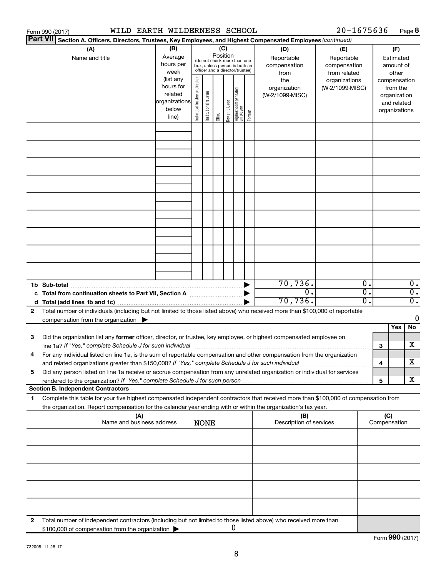|                                                                                                                           | WILD EARTH WILDERNESS SCHOOL<br>Form 990 (2017)                                                                                                                                                                                                        |                                                                      |                                |                       |         |                                                                                                                    |                                         |        |                                        | 20-1675636                                |                                                   |                                                                          | Page 8                                 |  |  |
|---------------------------------------------------------------------------------------------------------------------------|--------------------------------------------------------------------------------------------------------------------------------------------------------------------------------------------------------------------------------------------------------|----------------------------------------------------------------------|--------------------------------|-----------------------|---------|--------------------------------------------------------------------------------------------------------------------|-----------------------------------------|--------|----------------------------------------|-------------------------------------------|---------------------------------------------------|--------------------------------------------------------------------------|----------------------------------------|--|--|
| <b>Part VII</b><br>Section A. Officers, Directors, Trustees, Key Employees, and Highest Compensated Employees (continued) |                                                                                                                                                                                                                                                        |                                                                      |                                |                       |         |                                                                                                                    |                                         |        |                                        |                                           |                                                   |                                                                          |                                        |  |  |
|                                                                                                                           | (A)<br>Name and title                                                                                                                                                                                                                                  | (B)<br>Average<br>hours per<br>week                                  |                                |                       |         | (C)<br>Position<br>(do not check more than one<br>box, unless person is both an<br>officer and a director/trustee) |                                         |        |                                        | (D)<br>Reportable<br>compensation<br>from | (E)<br>Reportable<br>compensation<br>from related |                                                                          | (F)<br>Estimated<br>amount of<br>other |  |  |
|                                                                                                                           |                                                                                                                                                                                                                                                        | (list any<br>hours for<br>related<br>organizations<br>below<br>line) | Individual trustee or director | Institutional trustee | Officer | Key employee                                                                                                       | <br>  Highest compensated<br>  employee | Former | the<br>organization<br>(W-2/1099-MISC) | organizations<br>(W-2/1099-MISC)          |                                                   | compensation<br>from the<br>organization<br>and related<br>organizations |                                        |  |  |
|                                                                                                                           |                                                                                                                                                                                                                                                        |                                                                      |                                |                       |         |                                                                                                                    |                                         |        |                                        |                                           |                                                   |                                                                          |                                        |  |  |
|                                                                                                                           |                                                                                                                                                                                                                                                        |                                                                      |                                |                       |         |                                                                                                                    |                                         |        |                                        |                                           |                                                   |                                                                          |                                        |  |  |
|                                                                                                                           |                                                                                                                                                                                                                                                        |                                                                      |                                |                       |         |                                                                                                                    |                                         |        |                                        |                                           |                                                   |                                                                          |                                        |  |  |
|                                                                                                                           |                                                                                                                                                                                                                                                        |                                                                      |                                |                       |         |                                                                                                                    |                                         |        |                                        |                                           |                                                   |                                                                          |                                        |  |  |
|                                                                                                                           |                                                                                                                                                                                                                                                        |                                                                      |                                |                       |         |                                                                                                                    |                                         |        |                                        |                                           |                                                   |                                                                          |                                        |  |  |
|                                                                                                                           |                                                                                                                                                                                                                                                        |                                                                      |                                |                       |         |                                                                                                                    |                                         |        |                                        |                                           |                                                   |                                                                          |                                        |  |  |
|                                                                                                                           | 1b Sub-total                                                                                                                                                                                                                                           |                                                                      |                                |                       |         |                                                                                                                    |                                         |        | 70, 736.                               | 0.                                        |                                                   |                                                                          | $\overline{0}$ .                       |  |  |
|                                                                                                                           |                                                                                                                                                                                                                                                        |                                                                      |                                |                       |         |                                                                                                                    |                                         |        | $\overline{0}$ .                       | $\overline{0}$ .                          |                                                   |                                                                          | $\overline{0}$ .                       |  |  |
|                                                                                                                           |                                                                                                                                                                                                                                                        |                                                                      |                                |                       |         |                                                                                                                    |                                         |        | 70, 736.                               | 0.                                        |                                                   |                                                                          | $\overline{0}$ .                       |  |  |
| 2                                                                                                                         | Total number of individuals (including but not limited to those listed above) who received more than \$100,000 of reportable<br>compensation from the organization $\blacktriangleright$                                                               |                                                                      |                                |                       |         |                                                                                                                    |                                         |        |                                        |                                           |                                                   |                                                                          | 0                                      |  |  |
|                                                                                                                           |                                                                                                                                                                                                                                                        |                                                                      |                                |                       |         |                                                                                                                    |                                         |        |                                        |                                           |                                                   | Yes                                                                      | No                                     |  |  |
| 3                                                                                                                         | Did the organization list any former officer, director, or trustee, key employee, or highest compensated employee on                                                                                                                                   |                                                                      |                                |                       |         |                                                                                                                    |                                         |        |                                        |                                           | з                                                 |                                                                          | х                                      |  |  |
|                                                                                                                           | line 1a? If "Yes," complete Schedule J for such individual [11] manufacture manufacture in the set of the set o<br>For any individual listed on line 1a, is the sum of reportable compensation and other compensation from the organization            |                                                                      |                                |                       |         |                                                                                                                    |                                         |        |                                        |                                           |                                                   |                                                                          |                                        |  |  |
| 5                                                                                                                         | and related organizations greater than \$150,000? If "Yes," complete Schedule J for such individual<br>Did any person listed on line 1a receive or accrue compensation from any unrelated organization or individual for services                      |                                                                      |                                |                       |         |                                                                                                                    |                                         |        |                                        |                                           | 4                                                 |                                                                          | x                                      |  |  |
|                                                                                                                           |                                                                                                                                                                                                                                                        |                                                                      |                                |                       |         |                                                                                                                    |                                         |        |                                        |                                           | 5                                                 |                                                                          | х                                      |  |  |
|                                                                                                                           | <b>Section B. Independent Contractors</b>                                                                                                                                                                                                              |                                                                      |                                |                       |         |                                                                                                                    |                                         |        |                                        |                                           |                                                   |                                                                          |                                        |  |  |
| 1.                                                                                                                        | Complete this table for your five highest compensated independent contractors that received more than \$100,000 of compensation from<br>the organization. Report compensation for the calendar year ending with or within the organization's tax year. |                                                                      |                                |                       |         |                                                                                                                    |                                         |        |                                        |                                           |                                                   |                                                                          |                                        |  |  |
|                                                                                                                           | (A)<br>Name and business address                                                                                                                                                                                                                       |                                                                      |                                | <b>NONE</b>           |         |                                                                                                                    |                                         |        | (B)<br>Description of services         |                                           |                                                   | (C)<br>Compensation                                                      |                                        |  |  |
|                                                                                                                           |                                                                                                                                                                                                                                                        |                                                                      |                                |                       |         |                                                                                                                    |                                         |        |                                        |                                           |                                                   |                                                                          |                                        |  |  |
|                                                                                                                           |                                                                                                                                                                                                                                                        |                                                                      |                                |                       |         |                                                                                                                    |                                         |        |                                        |                                           |                                                   |                                                                          |                                        |  |  |
|                                                                                                                           |                                                                                                                                                                                                                                                        |                                                                      |                                |                       |         |                                                                                                                    |                                         |        |                                        |                                           |                                                   |                                                                          |                                        |  |  |
| 2                                                                                                                         | Total number of independent contractors (including but not limited to those listed above) who received more than                                                                                                                                       |                                                                      |                                |                       |         |                                                                                                                    |                                         |        |                                        |                                           |                                                   |                                                                          |                                        |  |  |
|                                                                                                                           | \$100,000 of compensation from the organization                                                                                                                                                                                                        |                                                                      |                                |                       |         | 0                                                                                                                  |                                         |        |                                        |                                           |                                                   |                                                                          |                                        |  |  |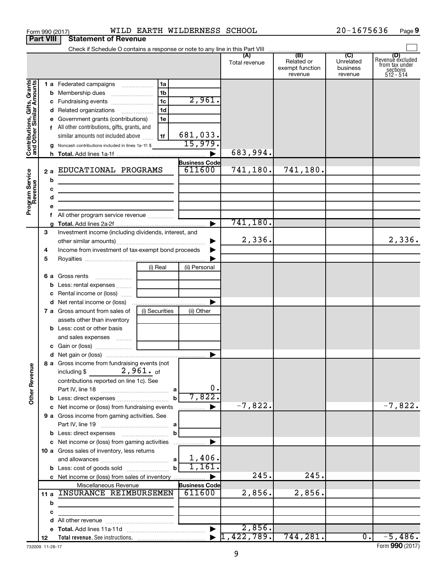|                                                                                         | <b>Part VIII</b>                                                                                                           | <b>Statement of Revenue</b>                                                                                                                                                                                                                                                                                                                                                                                                                                                                                              |                                                                      |                                                                 |                                  |                                          |                                  |                                                                    |
|-----------------------------------------------------------------------------------------|----------------------------------------------------------------------------------------------------------------------------|--------------------------------------------------------------------------------------------------------------------------------------------------------------------------------------------------------------------------------------------------------------------------------------------------------------------------------------------------------------------------------------------------------------------------------------------------------------------------------------------------------------------------|----------------------------------------------------------------------|-----------------------------------------------------------------|----------------------------------|------------------------------------------|----------------------------------|--------------------------------------------------------------------|
|                                                                                         |                                                                                                                            |                                                                                                                                                                                                                                                                                                                                                                                                                                                                                                                          |                                                                      |                                                                 |                                  |                                          |                                  |                                                                    |
|                                                                                         |                                                                                                                            |                                                                                                                                                                                                                                                                                                                                                                                                                                                                                                                          |                                                                      |                                                                 | Total revenue                    | Related or<br>exempt function<br>revenue | Unrelated<br>business<br>revenue | (D)<br>Revenue excluded<br>from tax under<br>sections<br>512 - 514 |
| Contributions, Gifts, Grants<br>and Other Similar Amounts<br>Program Service<br>Revenue | b<br>с<br>d<br>е<br>f.                                                                                                     | 1 a Federated campaigns<br><b>b</b> Membership dues<br>c Fundraising events<br>d Related organizations<br>e Government grants (contributions)<br>f All other contributions, gifts, grants, and<br>similar amounts not included above<br>g Noncash contributions included in lines 1a-1f: \$<br>2 a EDUCATIONAL PROGRAMS<br>the control of the control of the control of the control of the control of<br>the control of the control of the control of the control of the control of<br>All other program service revenue | 1a<br>1 <sub>b</sub><br>1 <sub>c</sub><br>1 <sub>d</sub><br>1e<br>1f | 2,961.<br>681,033.<br>15,979.<br><b>Business Code</b><br>611600 | 683,994.<br>741,180.<br>741,180. | 741,180.                                 |                                  |                                                                    |
|                                                                                         | 3<br>Investment income (including dividends, interest, and<br>Income from investment of tax-exempt bond proceeds<br>4<br>5 |                                                                                                                                                                                                                                                                                                                                                                                                                                                                                                                          |                                                                      |                                                                 | 2,336.                           |                                          |                                  | 2,336.                                                             |
|                                                                                         |                                                                                                                            | 6 a Gross rents<br><b>b</b> Less: rental expenses<br>c Rental income or (loss)<br>7 a Gross amount from sales of                                                                                                                                                                                                                                                                                                                                                                                                         | (i) Real<br>(i) Securities                                           | (ii) Personal<br>(ii) Other                                     |                                  |                                          |                                  |                                                                    |
|                                                                                         |                                                                                                                            | assets other than inventory<br><b>b</b> Less: cost or other basis<br>and sales expenses                                                                                                                                                                                                                                                                                                                                                                                                                                  |                                                                      |                                                                 |                                  |                                          |                                  |                                                                    |
| <b>Other Revenue</b>                                                                    |                                                                                                                            | 8 a Gross income from fundraising events (not  <br>$2$ ,961. $\circ$ f<br>including $$$<br>contributions reported on line 1c). See                                                                                                                                                                                                                                                                                                                                                                                       | $\mathbf{b}$                                                         | 0.<br>7,822.                                                    |                                  |                                          |                                  |                                                                    |
|                                                                                         |                                                                                                                            | c Net income or (loss) from fundraising events<br>9 a Gross income from gaming activities. See<br>c Net income or (loss) from gaming activities                                                                                                                                                                                                                                                                                                                                                                          | b                                                                    | .                                                               | $-7,822.$                        |                                          |                                  | $-7,822.$                                                          |
|                                                                                         |                                                                                                                            | 10 a Gross sales of inventory, less returns<br><b>b</b> Less: cost of goods sold<br>c Net income or (loss) from sales of inventory                                                                                                                                                                                                                                                                                                                                                                                       | b                                                                    | 1,406.<br>1,161,                                                | 245.                             | 245.                                     |                                  |                                                                    |
|                                                                                         | 11 a<br>b<br>с                                                                                                             | Miscellaneous Revenue<br>INSURANCE REIMBURSEMEN                                                                                                                                                                                                                                                                                                                                                                                                                                                                          |                                                                      | <b>Business Code</b><br>611600                                  | 2,856.                           | 2,856.                                   |                                  |                                                                    |
|                                                                                         | d                                                                                                                          |                                                                                                                                                                                                                                                                                                                                                                                                                                                                                                                          |                                                                      |                                                                 |                                  |                                          |                                  |                                                                    |
|                                                                                         |                                                                                                                            |                                                                                                                                                                                                                                                                                                                                                                                                                                                                                                                          |                                                                      |                                                                 | 2,856.                           |                                          |                                  |                                                                    |
|                                                                                         | 12                                                                                                                         |                                                                                                                                                                                                                                                                                                                                                                                                                                                                                                                          |                                                                      |                                                                 | 422,789.                         | 744, 281.                                | $\overline{\phantom{a}}$         | $-5,486.$                                                          |

Form 990 (2017) **WILD EARTH WILDERNESS SCHOOL**  $20-1675636$  Page

**9**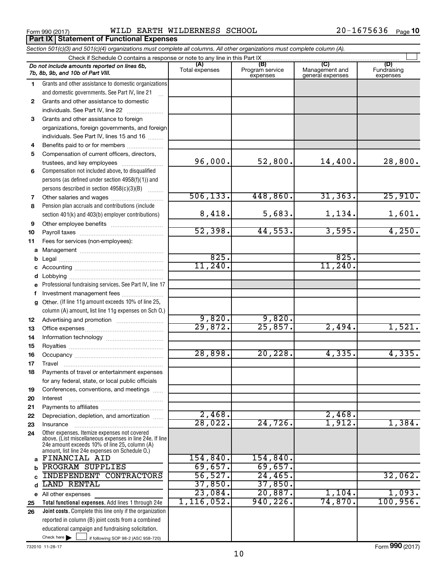**Part IX Statement of Functional Expenses** 

Form 990 (2017) Page WILD EARTH WILDERNESS SCHOOL 20-1675636

| Section 501(c)(3) and 501(c)(4) organizations must complete all columns. All other organizations must complete column (A). |                                                                                                                                                             |                       |                                    |                                           |                                |  |  |  |  |
|----------------------------------------------------------------------------------------------------------------------------|-------------------------------------------------------------------------------------------------------------------------------------------------------------|-----------------------|------------------------------------|-------------------------------------------|--------------------------------|--|--|--|--|
|                                                                                                                            | Check if Schedule O contains a response or note to any line in this Part IX                                                                                 |                       |                                    |                                           |                                |  |  |  |  |
|                                                                                                                            | Do not include amounts reported on lines 6b,<br>7b, 8b, 9b, and 10b of Part VIII.                                                                           | (A)<br>Total expenses | (B)<br>Program service<br>expenses | (C)<br>Management and<br>general expenses | (D)<br>Fundraising<br>expenses |  |  |  |  |
| 1.                                                                                                                         | Grants and other assistance to domestic organizations                                                                                                       |                       |                                    |                                           |                                |  |  |  |  |
|                                                                                                                            | and domestic governments. See Part IV, line 21                                                                                                              |                       |                                    |                                           |                                |  |  |  |  |
| $\mathbf{2}$                                                                                                               | Grants and other assistance to domestic                                                                                                                     |                       |                                    |                                           |                                |  |  |  |  |
|                                                                                                                            | individuals. See Part IV, line 22                                                                                                                           |                       |                                    |                                           |                                |  |  |  |  |
| 3                                                                                                                          | Grants and other assistance to foreign                                                                                                                      |                       |                                    |                                           |                                |  |  |  |  |
|                                                                                                                            | organizations, foreign governments, and foreign                                                                                                             |                       |                                    |                                           |                                |  |  |  |  |
|                                                                                                                            | individuals. See Part IV, lines 15 and 16                                                                                                                   |                       |                                    |                                           |                                |  |  |  |  |
| 4                                                                                                                          | Benefits paid to or for members                                                                                                                             |                       |                                    |                                           |                                |  |  |  |  |
| 5                                                                                                                          | Compensation of current officers, directors,                                                                                                                |                       |                                    |                                           |                                |  |  |  |  |
|                                                                                                                            | trustees, and key employees                                                                                                                                 | 96,000.               | 52,800.                            | 14,400.                                   | 28,800.                        |  |  |  |  |
| 6                                                                                                                          | Compensation not included above, to disqualified                                                                                                            |                       |                                    |                                           |                                |  |  |  |  |
|                                                                                                                            | persons (as defined under section 4958(f)(1)) and                                                                                                           |                       |                                    |                                           |                                |  |  |  |  |
|                                                                                                                            | persons described in section 4958(c)(3)(B)                                                                                                                  |                       |                                    |                                           |                                |  |  |  |  |
| 7                                                                                                                          | Other salaries and wages                                                                                                                                    | 506, 133.             | 448,860.                           | 31, 363.                                  | 25,910.                        |  |  |  |  |
| 8                                                                                                                          | Pension plan accruals and contributions (include                                                                                                            |                       |                                    |                                           |                                |  |  |  |  |
|                                                                                                                            | section 401(k) and 403(b) employer contributions)                                                                                                           | 8,418.                | 5,683.                             | 1,134.                                    | 1,601.                         |  |  |  |  |
| 9                                                                                                                          |                                                                                                                                                             |                       |                                    |                                           |                                |  |  |  |  |
| 10                                                                                                                         |                                                                                                                                                             | 52,398.               | 44,553.                            | 3,595.                                    | 4,250.                         |  |  |  |  |
| 11                                                                                                                         | Fees for services (non-employees):                                                                                                                          |                       |                                    |                                           |                                |  |  |  |  |
| a                                                                                                                          |                                                                                                                                                             |                       |                                    |                                           |                                |  |  |  |  |
| b                                                                                                                          |                                                                                                                                                             | 825.                  |                                    | 825.                                      |                                |  |  |  |  |
| с                                                                                                                          |                                                                                                                                                             | 11,240.               |                                    | 11, 240.                                  |                                |  |  |  |  |
| d                                                                                                                          |                                                                                                                                                             |                       |                                    |                                           |                                |  |  |  |  |
| е                                                                                                                          | Professional fundraising services. See Part IV, line 17                                                                                                     |                       |                                    |                                           |                                |  |  |  |  |
| f                                                                                                                          | Investment management fees                                                                                                                                  |                       |                                    |                                           |                                |  |  |  |  |
| g                                                                                                                          | Other. (If line 11g amount exceeds 10% of line 25,                                                                                                          |                       |                                    |                                           |                                |  |  |  |  |
|                                                                                                                            | column (A) amount, list line 11g expenses on Sch O.)                                                                                                        |                       |                                    |                                           |                                |  |  |  |  |
| 12                                                                                                                         |                                                                                                                                                             | 9,820.                | 9,820.                             |                                           |                                |  |  |  |  |
| 13                                                                                                                         |                                                                                                                                                             | 29,872.               | 25,857.                            | 2,494.                                    | 1,521.                         |  |  |  |  |
| 14                                                                                                                         |                                                                                                                                                             |                       |                                    |                                           |                                |  |  |  |  |
| 15                                                                                                                         |                                                                                                                                                             |                       |                                    |                                           |                                |  |  |  |  |
| 16                                                                                                                         |                                                                                                                                                             | 28,898.               | 20, 228.                           | 4,335.                                    | 4,335.                         |  |  |  |  |
| 17                                                                                                                         |                                                                                                                                                             |                       |                                    |                                           |                                |  |  |  |  |
| 18                                                                                                                         | Payments of travel or entertainment expenses                                                                                                                |                       |                                    |                                           |                                |  |  |  |  |
|                                                                                                                            | for any federal, state, or local public officials                                                                                                           |                       |                                    |                                           |                                |  |  |  |  |
| 19                                                                                                                         | Conferences, conventions, and meetings                                                                                                                      |                       |                                    |                                           |                                |  |  |  |  |
| 20                                                                                                                         | Interest                                                                                                                                                    |                       |                                    |                                           |                                |  |  |  |  |
| 21                                                                                                                         |                                                                                                                                                             | 2,468.                |                                    | 2,468.                                    |                                |  |  |  |  |
| 22                                                                                                                         | Depreciation, depletion, and amortization                                                                                                                   | 28,022.               | 24,726                             | 1,912.                                    | 1,384.                         |  |  |  |  |
| 23                                                                                                                         | Insurance<br>Other expenses. Itemize expenses not covered                                                                                                   |                       |                                    |                                           |                                |  |  |  |  |
| 24                                                                                                                         | above. (List miscellaneous expenses in line 24e. If line<br>24e amount exceeds 10% of line 25, column (A)<br>amount, list line 24e expenses on Schedule O.) |                       |                                    |                                           |                                |  |  |  |  |
| a                                                                                                                          | FINANCIAL AID                                                                                                                                               | 154,840.              | 154,840.                           |                                           |                                |  |  |  |  |
| b                                                                                                                          | PROGRAM SUPPLIES                                                                                                                                            | 69,657.               | 69,657.                            |                                           |                                |  |  |  |  |
|                                                                                                                            | <b>INDEPENDENT CONTRACTORS</b>                                                                                                                              | 56, 527.              | 24,465.                            |                                           | 32,062.                        |  |  |  |  |
| d                                                                                                                          | <b>LAND RENTAL</b>                                                                                                                                          | 37,850.               | 37,850.                            |                                           |                                |  |  |  |  |
|                                                                                                                            | e All other expenses                                                                                                                                        | 23,084.               | 20,887.                            | 1,104.                                    | 1,093.                         |  |  |  |  |
| 25                                                                                                                         | Total functional expenses. Add lines 1 through 24e                                                                                                          | 1, 116, 052.          | 940, 226.                          | $74,870$ .                                | 100, 956.                      |  |  |  |  |
| 26                                                                                                                         | Joint costs. Complete this line only if the organization                                                                                                    |                       |                                    |                                           |                                |  |  |  |  |
|                                                                                                                            | reported in column (B) joint costs from a combined                                                                                                          |                       |                                    |                                           |                                |  |  |  |  |
|                                                                                                                            | educational campaign and fundraising solicitation.                                                                                                          |                       |                                    |                                           |                                |  |  |  |  |
|                                                                                                                            | Check here $\blacktriangleright$<br>if following SOP 98-2 (ASC 958-720)                                                                                     |                       |                                    |                                           |                                |  |  |  |  |

732010 11-28-17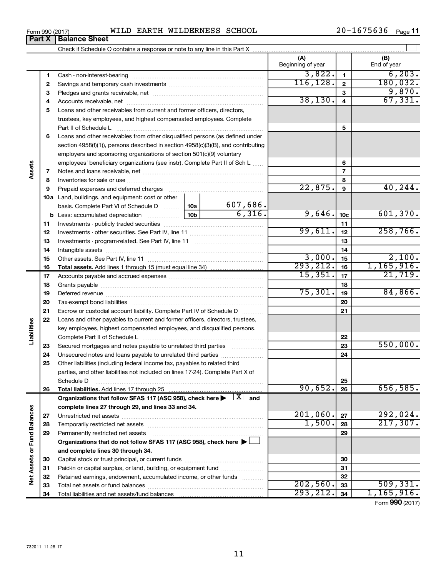| (2017)<br>-<br>Form | ----<br>W⊥ | ______<br>`RTh<br>. .<br>CAR | WILDERNESS | SCHOOL | $\sim$ $\sim$<br>ס כ<br>ּ סנ | Page |
|---------------------|------------|------------------------------|------------|--------|------------------------------|------|
|                     |            |                              |            |        |                              |      |

|                             |    |                                                                                                                                                                                                                               |                 | (A)<br>Beginning of year |                          | (B)<br>End of year     |
|-----------------------------|----|-------------------------------------------------------------------------------------------------------------------------------------------------------------------------------------------------------------------------------|-----------------|--------------------------|--------------------------|------------------------|
|                             | 1  |                                                                                                                                                                                                                               |                 | 3,822.                   | $\mathbf{1}$             | 6, 203.                |
|                             | 2  |                                                                                                                                                                                                                               |                 | 116, 128.                | $\mathbf{2}$             | 180,032.               |
|                             | З  |                                                                                                                                                                                                                               |                 |                          | З                        | 9,870.                 |
|                             | 4  |                                                                                                                                                                                                                               |                 | 38, 130.                 | $\overline{\mathbf{4}}$  | 67, 331.               |
|                             | 5  | Loans and other receivables from current and former officers, directors,                                                                                                                                                      |                 |                          |                          |                        |
|                             |    | trustees, key employees, and highest compensated employees. Complete                                                                                                                                                          |                 |                          |                          |                        |
|                             |    | Part II of Schedule L                                                                                                                                                                                                         |                 |                          | 5                        |                        |
|                             | 6  | Loans and other receivables from other disqualified persons (as defined under                                                                                                                                                 |                 |                          |                          |                        |
|                             |    | section 4958(f)(1)), persons described in section 4958(c)(3)(B), and contributing                                                                                                                                             |                 |                          |                          |                        |
|                             |    | employers and sponsoring organizations of section 501(c)(9) voluntary                                                                                                                                                         |                 |                          |                          |                        |
|                             |    | employees' beneficiary organizations (see instr). Complete Part II of Sch L                                                                                                                                                   |                 |                          | 6                        |                        |
| Assets                      | 7  |                                                                                                                                                                                                                               |                 |                          | $\overline{\phantom{a}}$ |                        |
|                             | 8  |                                                                                                                                                                                                                               |                 |                          | 8                        |                        |
|                             | 9  | Prepaid expenses and deferred charges [11] [11] Prepaid expenses and deferred charges [11] [11] Martin Marian Marian Marian Marian Marian Marian Marian Marian Marian Marian Marian Marian Marian Marian Marian Marian Marian |                 | 22,875.                  | $\boldsymbol{9}$         | 40, 244.               |
|                             |    | 10a Land, buildings, and equipment: cost or other                                                                                                                                                                             |                 |                          |                          |                        |
|                             |    | basis. Complete Part VI of Schedule D                                                                                                                                                                                         | 607,686.<br>10a |                          |                          |                        |
|                             |    | 10 <sub>b</sub><br><b>b</b> Less: accumulated depreciation                                                                                                                                                                    | 6,316.          | 9,646.                   | 10 <sub>c</sub>          | 601,370.               |
|                             | 11 |                                                                                                                                                                                                                               |                 |                          | 11                       |                        |
|                             | 12 |                                                                                                                                                                                                                               |                 | 99,611.                  | 12                       | 258,766.               |
|                             | 13 |                                                                                                                                                                                                                               |                 |                          | 13                       |                        |
|                             | 14 |                                                                                                                                                                                                                               |                 | 14                       |                          |                        |
|                             | 15 |                                                                                                                                                                                                                               |                 | 3,000.<br>293, 212.      | 15                       | 2,100.<br>1, 165, 916. |
|                             | 16 |                                                                                                                                                                                                                               | 15,351.         | 16                       | 21,719.                  |                        |
|                             | 17 |                                                                                                                                                                                                                               |                 |                          | 17                       |                        |
|                             | 18 |                                                                                                                                                                                                                               |                 | 75,301.                  | 18                       | 84,866.                |
|                             | 19 |                                                                                                                                                                                                                               |                 |                          | 19                       |                        |
|                             | 20 |                                                                                                                                                                                                                               |                 |                          | 20                       |                        |
|                             | 21 | Escrow or custodial account liability. Complete Part IV of Schedule D                                                                                                                                                         |                 |                          | 21                       |                        |
| Liabilities                 | 22 | Loans and other payables to current and former officers, directors, trustees,                                                                                                                                                 |                 |                          |                          |                        |
|                             |    | key employees, highest compensated employees, and disqualified persons.                                                                                                                                                       |                 |                          | 22                       |                        |
|                             | 23 | Secured mortgages and notes payable to unrelated third parties                                                                                                                                                                |                 |                          | 23                       | 550,000.               |
|                             | 24 | Unsecured notes and loans payable to unrelated third parties                                                                                                                                                                  |                 |                          | 24                       |                        |
|                             | 25 | Other liabilities (including federal income tax, payables to related third                                                                                                                                                    |                 |                          |                          |                        |
|                             |    | parties, and other liabilities not included on lines 17-24). Complete Part X of                                                                                                                                               |                 |                          |                          |                        |
|                             |    | Schedule D                                                                                                                                                                                                                    |                 |                          | 25                       |                        |
|                             | 26 |                                                                                                                                                                                                                               |                 | 90,652.                  | 26                       | 656,585.               |
|                             |    | Organizations that follow SFAS 117 (ASC 958), check here $\blacktriangleright \begin{array}{c} \boxed{X} \end{array}$ and                                                                                                     |                 |                          |                          |                        |
|                             |    | complete lines 27 through 29, and lines 33 and 34.                                                                                                                                                                            |                 |                          |                          |                        |
|                             | 27 |                                                                                                                                                                                                                               |                 | 201,060.                 | 27                       | 292,024.               |
|                             | 28 |                                                                                                                                                                                                                               |                 | 1,500.                   | 28                       | 217,307.               |
|                             | 29 | Permanently restricted net assets                                                                                                                                                                                             |                 |                          | 29                       |                        |
|                             |    | Organizations that do not follow SFAS 117 (ASC 958), check here ▶                                                                                                                                                             |                 |                          |                          |                        |
| Net Assets or Fund Balances |    | and complete lines 30 through 34.                                                                                                                                                                                             |                 |                          |                          |                        |
|                             | 30 |                                                                                                                                                                                                                               |                 |                          | 30                       |                        |
|                             | 31 | Paid-in or capital surplus, or land, building, or equipment fund                                                                                                                                                              |                 |                          | 31                       |                        |
|                             | 32 | Retained earnings, endowment, accumulated income, or other funds                                                                                                                                                              |                 |                          | 32                       |                        |
|                             | 33 |                                                                                                                                                                                                                               |                 | 202,560.                 | 33                       | 509, 331.              |
|                             | 34 |                                                                                                                                                                                                                               |                 | 293, 212.                | 34                       | 1, 165, 916.           |

| Form 990 (2017) |                               |  |
|-----------------|-------------------------------|--|
|                 | <b>Part X   Balance Sheet</b> |  |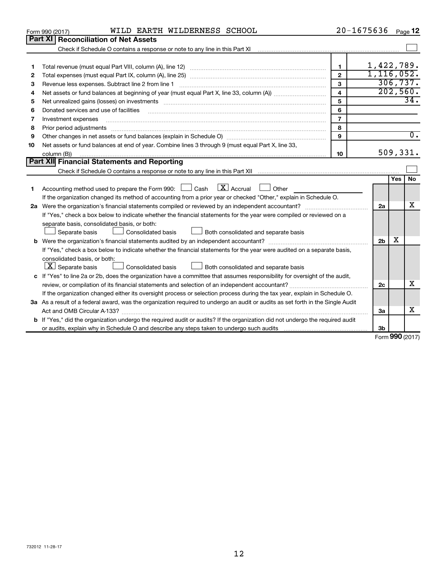|    | WILD EARTH WILDERNESS SCHOOL<br>Form 990 (2017)                                                                                                                        |                         | 20-1675636     |              | Page 12          |
|----|------------------------------------------------------------------------------------------------------------------------------------------------------------------------|-------------------------|----------------|--------------|------------------|
|    | Part XI<br><b>Reconciliation of Net Assets</b>                                                                                                                         |                         |                |              |                  |
|    | Check if Schedule O contains a response or note to any line in this Part XI [11] [12] [13] Check if Schedule O contains a response or note to any line in this Part XI |                         |                |              |                  |
|    |                                                                                                                                                                        |                         |                |              |                  |
| 1  |                                                                                                                                                                        | 1                       | 1,422,789.     |              |                  |
| 2  |                                                                                                                                                                        | $\mathbf{2}$            | 1, 116, 052.   |              |                  |
| 3  | Revenue less expenses. Subtract line 2 from line 1                                                                                                                     | 3                       |                |              | 306, 737.        |
| 4  |                                                                                                                                                                        | $\overline{\mathbf{4}}$ |                |              | 202,560.         |
| 5  |                                                                                                                                                                        | 5                       |                |              | 34.              |
| 6  | Donated services and use of facilities                                                                                                                                 | 6                       |                |              |                  |
| 7  | Investment expenses                                                                                                                                                    | $\overline{7}$          |                |              |                  |
| 8  |                                                                                                                                                                        | 8                       |                |              |                  |
| 9  |                                                                                                                                                                        | 9                       |                |              | $\overline{0}$ . |
| 10 | Net assets or fund balances at end of year. Combine lines 3 through 9 (must equal Part X, line 33,                                                                     |                         |                |              |                  |
|    | column (B))                                                                                                                                                            | 10                      |                |              | 509,331.         |
|    | <b>Part XII Financial Statements and Reporting</b>                                                                                                                     |                         |                |              |                  |
|    |                                                                                                                                                                        |                         |                |              |                  |
|    |                                                                                                                                                                        |                         |                | Yes          | No               |
| 1  | $\lfloor \mathbf{X} \rfloor$ Accrual<br>Accounting method used to prepare the Form 990: $\Box$ Cash<br>$\Box$ Other                                                    |                         |                |              |                  |
|    | If the organization changed its method of accounting from a prior year or checked "Other," explain in Schedule O.                                                      |                         |                |              |                  |
|    |                                                                                                                                                                        |                         | 2a             |              | x                |
|    | If "Yes," check a box below to indicate whether the financial statements for the year were compiled or reviewed on a                                                   |                         |                |              |                  |
|    | separate basis, consolidated basis, or both:                                                                                                                           |                         |                |              |                  |
|    | Both consolidated and separate basis<br>Separate basis<br>Consolidated basis                                                                                           |                         |                |              |                  |
|    |                                                                                                                                                                        |                         | 2 <sub>b</sub> | x            |                  |
|    | If "Yes," check a box below to indicate whether the financial statements for the year were audited on a separate basis,                                                |                         |                |              |                  |
|    | consolidated basis, or both:                                                                                                                                           |                         |                |              |                  |
|    | $ \mathbf{X} $ Separate basis<br>Consolidated basis<br>Both consolidated and separate basis                                                                            |                         |                |              |                  |
|    | c If "Yes" to line 2a or 2b, does the organization have a committee that assumes responsibility for oversight of the audit,                                            |                         |                |              |                  |
|    |                                                                                                                                                                        |                         | 2c             |              | x                |
|    | If the organization changed either its oversight process or selection process during the tax year, explain in Schedule O.                                              |                         |                |              |                  |
|    | 3a As a result of a federal award, was the organization required to undergo an audit or audits as set forth in the Single Audit                                        |                         |                |              |                  |
|    |                                                                                                                                                                        |                         | 3a             |              | x                |
|    | <b>b</b> If "Yes," did the organization undergo the required audit or audits? If the organization did not undergo the required audit                                   |                         |                |              |                  |
|    |                                                                                                                                                                        |                         | 3b             | $000 \omega$ |                  |
|    |                                                                                                                                                                        |                         |                |              |                  |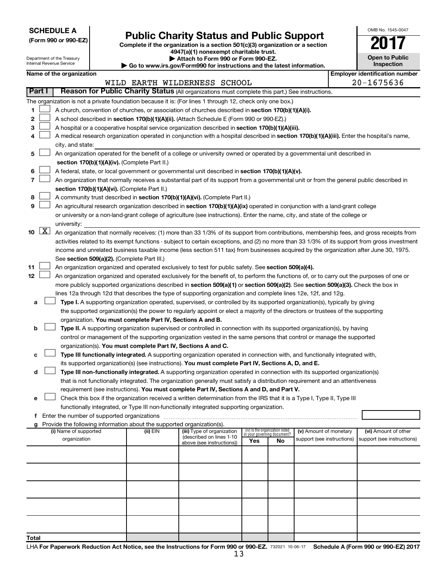**SCHEDULE A**

Department of the Treasury Internal Revenue Service

# Form 990 or 990-EZ)<br>
Complete if the organization is a section 501(c)(3) organization or a section<br> **Public Charity Status and Public Support**

**4947(a)(1) nonexempt charitable trust. | Attach to Form 990 or Form 990-EZ.** 

| <b>P</b> Allach to Form 330 or Form 330-LZ.                              |
|--------------------------------------------------------------------------|
| ▶ Go to www.irs.gov/Form990 for instructions and the latest information. |

**Open to Public Inspection Name of the organization Employer identification number**

OMB No. 1545-0047

|       |             |                                                                                                                                            |                                                                                                                                                                                                 |          | WILD EARTH WILDERNESS SCHOOL                          |                                    |    |                            |  | спрюуст коспенсатон нап<br>20-1675636 |  |
|-------|-------------|--------------------------------------------------------------------------------------------------------------------------------------------|-------------------------------------------------------------------------------------------------------------------------------------------------------------------------------------------------|----------|-------------------------------------------------------|------------------------------------|----|----------------------------|--|---------------------------------------|--|
|       | Part I      |                                                                                                                                            | Reason for Public Charity Status (All organizations must complete this part.) See instructions.                                                                                                 |          |                                                       |                                    |    |                            |  |                                       |  |
|       |             |                                                                                                                                            | The organization is not a private foundation because it is: (For lines 1 through 12, check only one box.)                                                                                       |          |                                                       |                                    |    |                            |  |                                       |  |
| 1     |             |                                                                                                                                            |                                                                                                                                                                                                 |          |                                                       |                                    |    |                            |  |                                       |  |
| 2     |             |                                                                                                                                            | A church, convention of churches, or association of churches described in section 170(b)(1)(A)(i).<br>A school described in section 170(b)(1)(A)(ii). (Attach Schedule E (Form 990 or 990-EZ).) |          |                                                       |                                    |    |                            |  |                                       |  |
| З     |             |                                                                                                                                            | A hospital or a cooperative hospital service organization described in section 170(b)(1)(A)(iii).                                                                                               |          |                                                       |                                    |    |                            |  |                                       |  |
| 4     |             | A medical research organization operated in conjunction with a hospital described in section 170(b)(1)(A)(iii). Enter the hospital's name, |                                                                                                                                                                                                 |          |                                                       |                                    |    |                            |  |                                       |  |
|       |             | city, and state:                                                                                                                           |                                                                                                                                                                                                 |          |                                                       |                                    |    |                            |  |                                       |  |
| 5     |             |                                                                                                                                            | An organization operated for the benefit of a college or university owned or operated by a governmental unit described in                                                                       |          |                                                       |                                    |    |                            |  |                                       |  |
|       |             |                                                                                                                                            | section 170(b)(1)(A)(iv). (Complete Part II.)                                                                                                                                                   |          |                                                       |                                    |    |                            |  |                                       |  |
| 6     |             |                                                                                                                                            | A federal, state, or local government or governmental unit described in section 170(b)(1)(A)(v).                                                                                                |          |                                                       |                                    |    |                            |  |                                       |  |
| 7     |             |                                                                                                                                            | An organization that normally receives a substantial part of its support from a governmental unit or from the general public described in                                                       |          |                                                       |                                    |    |                            |  |                                       |  |
|       |             |                                                                                                                                            | section 170(b)(1)(A)(vi). (Complete Part II.)                                                                                                                                                   |          |                                                       |                                    |    |                            |  |                                       |  |
| 8     |             |                                                                                                                                            | A community trust described in section 170(b)(1)(A)(vi). (Complete Part II.)                                                                                                                    |          |                                                       |                                    |    |                            |  |                                       |  |
| 9     |             |                                                                                                                                            | An agricultural research organization described in section 170(b)(1)(A)(ix) operated in conjunction with a land-grant college                                                                   |          |                                                       |                                    |    |                            |  |                                       |  |
|       |             |                                                                                                                                            | or university or a non-land-grant college of agriculture (see instructions). Enter the name, city, and state of the college or                                                                  |          |                                                       |                                    |    |                            |  |                                       |  |
|       |             |                                                                                                                                            | university:                                                                                                                                                                                     |          |                                                       |                                    |    |                            |  |                                       |  |
|       | $10 \mid X$ |                                                                                                                                            | An organization that normally receives: (1) more than 33 1/3% of its support from contributions, membership fees, and gross receipts from                                                       |          |                                                       |                                    |    |                            |  |                                       |  |
|       |             |                                                                                                                                            | activities related to its exempt functions - subject to certain exceptions, and (2) no more than 33 1/3% of its support from gross investment                                                   |          |                                                       |                                    |    |                            |  |                                       |  |
|       |             |                                                                                                                                            | income and unrelated business taxable income (less section 511 tax) from businesses acquired by the organization after June 30, 1975.                                                           |          |                                                       |                                    |    |                            |  |                                       |  |
|       |             |                                                                                                                                            | See section 509(a)(2). (Complete Part III.)                                                                                                                                                     |          |                                                       |                                    |    |                            |  |                                       |  |
| 11    |             |                                                                                                                                            | An organization organized and operated exclusively to test for public safety. See section 509(a)(4).                                                                                            |          |                                                       |                                    |    |                            |  |                                       |  |
| 12    |             |                                                                                                                                            | An organization organized and operated exclusively for the benefit of, to perform the functions of, or to carry out the purposes of one or                                                      |          |                                                       |                                    |    |                            |  |                                       |  |
|       |             |                                                                                                                                            | more publicly supported organizations described in section 509(a)(1) or section 509(a)(2). See section 509(a)(3). Check the box in                                                              |          |                                                       |                                    |    |                            |  |                                       |  |
|       |             |                                                                                                                                            | lines 12a through 12d that describes the type of supporting organization and complete lines 12e, 12f, and 12g.                                                                                  |          |                                                       |                                    |    |                            |  |                                       |  |
| а     |             |                                                                                                                                            | Type I. A supporting organization operated, supervised, or controlled by its supported organization(s), typically by giving                                                                     |          |                                                       |                                    |    |                            |  |                                       |  |
|       |             |                                                                                                                                            | the supported organization(s) the power to regularly appoint or elect a majority of the directors or trustees of the supporting                                                                 |          |                                                       |                                    |    |                            |  |                                       |  |
|       |             |                                                                                                                                            | organization. You must complete Part IV, Sections A and B.                                                                                                                                      |          |                                                       |                                    |    |                            |  |                                       |  |
| b     |             |                                                                                                                                            | Type II. A supporting organization supervised or controlled in connection with its supported organization(s), by having                                                                         |          |                                                       |                                    |    |                            |  |                                       |  |
|       |             |                                                                                                                                            |                                                                                                                                                                                                 |          |                                                       |                                    |    |                            |  |                                       |  |
|       |             |                                                                                                                                            | control or management of the supporting organization vested in the same persons that control or manage the supported                                                                            |          |                                                       |                                    |    |                            |  |                                       |  |
|       |             |                                                                                                                                            | organization(s). You must complete Part IV, Sections A and C.                                                                                                                                   |          |                                                       |                                    |    |                            |  |                                       |  |
| с     |             |                                                                                                                                            | Type III functionally integrated. A supporting organization operated in connection with, and functionally integrated with,                                                                      |          |                                                       |                                    |    |                            |  |                                       |  |
| d     |             |                                                                                                                                            | its supported organization(s) (see instructions). You must complete Part IV, Sections A, D, and E.                                                                                              |          |                                                       |                                    |    |                            |  |                                       |  |
|       |             |                                                                                                                                            | Type III non-functionally integrated. A supporting organization operated in connection with its supported organization(s)                                                                       |          |                                                       |                                    |    |                            |  |                                       |  |
|       |             |                                                                                                                                            | that is not functionally integrated. The organization generally must satisfy a distribution requirement and an attentiveness                                                                    |          |                                                       |                                    |    |                            |  |                                       |  |
|       |             |                                                                                                                                            | requirement (see instructions). You must complete Part IV, Sections A and D, and Part V.                                                                                                        |          |                                                       |                                    |    |                            |  |                                       |  |
| е     |             |                                                                                                                                            | Check this box if the organization received a written determination from the IRS that it is a Type I, Type II, Type III                                                                         |          |                                                       |                                    |    |                            |  |                                       |  |
|       |             |                                                                                                                                            | functionally integrated, or Type III non-functionally integrated supporting organization.<br>Enter the number of supported organizations                                                        |          |                                                       |                                    |    |                            |  |                                       |  |
|       |             |                                                                                                                                            | Provide the following information about the supported organization(s).                                                                                                                          |          |                                                       |                                    |    |                            |  |                                       |  |
|       |             |                                                                                                                                            | (i) Name of supported                                                                                                                                                                           | (ii) EIN | (iii) Type of organization                            | (iv) Is the organization listed    |    | (v) Amount of monetary     |  | (vi) Amount of other                  |  |
|       |             |                                                                                                                                            | organization                                                                                                                                                                                    |          | (described on lines 1-10<br>above (see instructions)) | in your governing document?<br>Yes | No | support (see instructions) |  | support (see instructions)            |  |
|       |             |                                                                                                                                            |                                                                                                                                                                                                 |          |                                                       |                                    |    |                            |  |                                       |  |
|       |             |                                                                                                                                            |                                                                                                                                                                                                 |          |                                                       |                                    |    |                            |  |                                       |  |
|       |             |                                                                                                                                            |                                                                                                                                                                                                 |          |                                                       |                                    |    |                            |  |                                       |  |
|       |             |                                                                                                                                            |                                                                                                                                                                                                 |          |                                                       |                                    |    |                            |  |                                       |  |
|       |             |                                                                                                                                            |                                                                                                                                                                                                 |          |                                                       |                                    |    |                            |  |                                       |  |
|       |             |                                                                                                                                            |                                                                                                                                                                                                 |          |                                                       |                                    |    |                            |  |                                       |  |
|       |             |                                                                                                                                            |                                                                                                                                                                                                 |          |                                                       |                                    |    |                            |  |                                       |  |
|       |             |                                                                                                                                            |                                                                                                                                                                                                 |          |                                                       |                                    |    |                            |  |                                       |  |
|       |             |                                                                                                                                            |                                                                                                                                                                                                 |          |                                                       |                                    |    |                            |  |                                       |  |
|       |             |                                                                                                                                            |                                                                                                                                                                                                 |          |                                                       |                                    |    |                            |  |                                       |  |
| Total |             |                                                                                                                                            |                                                                                                                                                                                                 |          |                                                       |                                    |    |                            |  |                                       |  |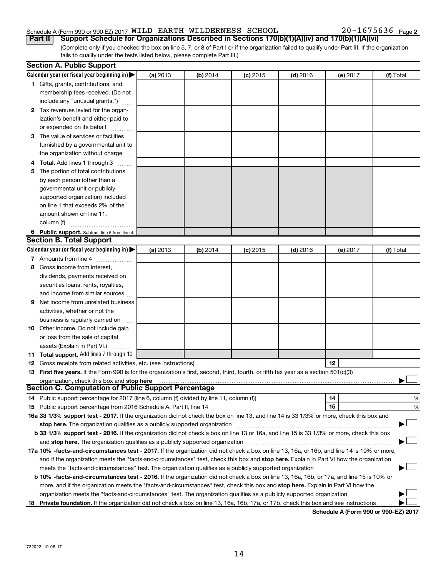# Schedule A (Form 990 or 990-EZ) 2017 WILD EARTH WILDERNESS SCHOOL  $20-1675636$  Page

(Complete only if you checked the box on line 5, 7, or 8 of Part I or if the organization failed to qualify under Part III. If the organization fails to qualify under the tests listed below, please complete Part III.) **Part II Support Schedule for Organizations Described in Sections 170(b)(1)(A)(iv) and 170(b)(1)(A)(vi)**

|   | <b>Section A. Public Support</b>                                                                                                                                                                                               |          |          |            |            |          |           |
|---|--------------------------------------------------------------------------------------------------------------------------------------------------------------------------------------------------------------------------------|----------|----------|------------|------------|----------|-----------|
|   | Calendar year (or fiscal year beginning in)                                                                                                                                                                                    | (a) 2013 | (b) 2014 | $(c)$ 2015 | $(d)$ 2016 | (e) 2017 | (f) Total |
|   | 1 Gifts, grants, contributions, and                                                                                                                                                                                            |          |          |            |            |          |           |
|   | membership fees received. (Do not                                                                                                                                                                                              |          |          |            |            |          |           |
|   | include any "unusual grants.")                                                                                                                                                                                                 |          |          |            |            |          |           |
|   | 2 Tax revenues levied for the organ-                                                                                                                                                                                           |          |          |            |            |          |           |
|   | ization's benefit and either paid to                                                                                                                                                                                           |          |          |            |            |          |           |
|   | or expended on its behalf                                                                                                                                                                                                      |          |          |            |            |          |           |
|   | 3 The value of services or facilities                                                                                                                                                                                          |          |          |            |            |          |           |
|   | furnished by a governmental unit to                                                                                                                                                                                            |          |          |            |            |          |           |
|   | the organization without charge                                                                                                                                                                                                |          |          |            |            |          |           |
|   | 4 Total. Add lines 1 through 3                                                                                                                                                                                                 |          |          |            |            |          |           |
|   | 5 The portion of total contributions                                                                                                                                                                                           |          |          |            |            |          |           |
|   | by each person (other than a                                                                                                                                                                                                   |          |          |            |            |          |           |
|   | governmental unit or publicly                                                                                                                                                                                                  |          |          |            |            |          |           |
|   | supported organization) included                                                                                                                                                                                               |          |          |            |            |          |           |
|   | on line 1 that exceeds 2% of the                                                                                                                                                                                               |          |          |            |            |          |           |
|   | amount shown on line 11,                                                                                                                                                                                                       |          |          |            |            |          |           |
|   | column (f)                                                                                                                                                                                                                     |          |          |            |            |          |           |
|   | 6 Public support. Subtract line 5 from line 4.                                                                                                                                                                                 |          |          |            |            |          |           |
|   | <b>Section B. Total Support</b>                                                                                                                                                                                                |          |          |            |            |          |           |
|   | Calendar year (or fiscal year beginning in)                                                                                                                                                                                    | (a) 2013 | (b) 2014 | $(c)$ 2015 | $(d)$ 2016 | (e) 2017 | (f) Total |
|   | 7 Amounts from line 4                                                                                                                                                                                                          |          |          |            |            |          |           |
| 8 | Gross income from interest,                                                                                                                                                                                                    |          |          |            |            |          |           |
|   | dividends, payments received on                                                                                                                                                                                                |          |          |            |            |          |           |
|   | securities loans, rents, royalties,                                                                                                                                                                                            |          |          |            |            |          |           |
|   | and income from similar sources                                                                                                                                                                                                |          |          |            |            |          |           |
| 9 | Net income from unrelated business                                                                                                                                                                                             |          |          |            |            |          |           |
|   | activities, whether or not the                                                                                                                                                                                                 |          |          |            |            |          |           |
|   | business is regularly carried on                                                                                                                                                                                               |          |          |            |            |          |           |
|   | 10 Other income. Do not include gain                                                                                                                                                                                           |          |          |            |            |          |           |
|   | or loss from the sale of capital                                                                                                                                                                                               |          |          |            |            |          |           |
|   | assets (Explain in Part VI.)                                                                                                                                                                                                   |          |          |            |            |          |           |
|   | 11 Total support. Add lines 7 through 10                                                                                                                                                                                       |          |          |            |            |          |           |
|   | <b>12</b> Gross receipts from related activities, etc. (see instructions)                                                                                                                                                      |          |          |            |            | 12       |           |
|   | 13 First five years. If the Form 990 is for the organization's first, second, third, fourth, or fifth tax year as a section 501(c)(3)                                                                                          |          |          |            |            |          |           |
|   | organization, check this box and stop here                                                                                                                                                                                     |          |          |            |            |          |           |
|   | <b>Section C. Computation of Public Support Percentage</b>                                                                                                                                                                     |          |          |            |            |          |           |
|   |                                                                                                                                                                                                                                |          |          |            |            | 14       | %         |
|   |                                                                                                                                                                                                                                |          |          |            |            | 15       | %         |
|   | 16a 33 1/3% support test - 2017. If the organization did not check the box on line 13, and line 14 is 33 1/3% or more, check this box and                                                                                      |          |          |            |            |          |           |
|   | stop here. The organization qualifies as a publicly supported organization manufaction manufacture or the organization manufacture or the organization manufacture or the organization manufacture or the state of the state o |          |          |            |            |          |           |
|   | b 33 1/3% support test - 2016. If the organization did not check a box on line 13 or 16a, and line 15 is 33 1/3% or more, check this box                                                                                       |          |          |            |            |          |           |
|   |                                                                                                                                                                                                                                |          |          |            |            |          |           |
|   | 17a 10% -facts-and-circumstances test - 2017. If the organization did not check a box on line 13, 16a, or 16b, and line 14 is 10% or more,                                                                                     |          |          |            |            |          |           |
|   | and if the organization meets the "facts-and-circumstances" test, check this box and stop here. Explain in Part VI how the organization                                                                                        |          |          |            |            |          |           |
|   |                                                                                                                                                                                                                                |          |          |            |            |          |           |
|   | b 10% -facts-and-circumstances test - 2016. If the organization did not check a box on line 13, 16a, 16b, or 17a, and line 15 is 10% or                                                                                        |          |          |            |            |          |           |
|   | more, and if the organization meets the "facts-and-circumstances" test, check this box and stop here. Explain in Part VI how the                                                                                               |          |          |            |            |          |           |
|   | organization meets the "facts-and-circumstances" test. The organization qualifies as a publicly supported organization                                                                                                         |          |          |            |            |          |           |
|   | 18 Private foundation. If the organization did not check a box on line 13, 16a, 16b, 17a, or 17b, check this box and see instructions                                                                                          |          |          |            |            |          |           |
|   |                                                                                                                                                                                                                                |          |          |            |            |          |           |

**Schedule A (Form 990 or 990-EZ) 2017**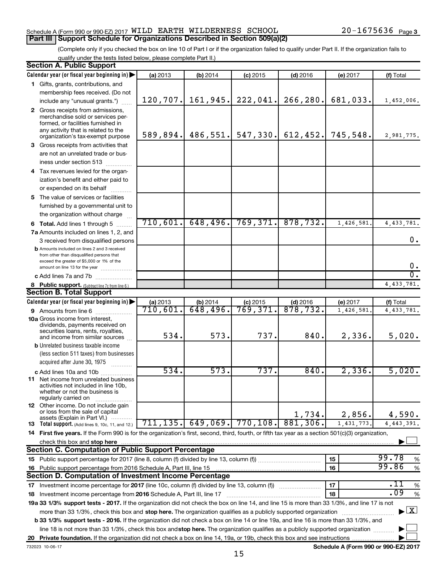#### Schedule A (Form 990 or 990-EZ) 2017 WILD EARTH WILDERNESS SCHOOL  $20-1675636$  Page **Part III Support Schedule for Organizations Described in Section 509(a)(2)**

(Complete only if you checked the box on line 10 of Part I or if the organization failed to qualify under Part II. If the organization fails to qualify under the tests listed below, please complete Part II.)

| <b>Section A. Public Support</b>                                                                                                                    |           |                      |            |                                 |            |                                    |
|-----------------------------------------------------------------------------------------------------------------------------------------------------|-----------|----------------------|------------|---------------------------------|------------|------------------------------------|
| Calendar year (or fiscal year beginning in)                                                                                                         | (a) 2013  | (b) 2014             | $(c)$ 2015 | $(d)$ 2016                      | (e) 2017   | (f) Total                          |
| 1 Gifts, grants, contributions, and                                                                                                                 |           |                      |            |                                 |            |                                    |
| membership fees received. (Do not                                                                                                                   |           |                      |            |                                 |            |                                    |
| include any "unusual grants.")                                                                                                                      | 120, 707. | 161, 945.            | 222,041.   | 266, 280.                       | 681,033.   | 1,452,006.                         |
| 2 Gross receipts from admissions,                                                                                                                   |           |                      |            |                                 |            |                                    |
| merchandise sold or services per-                                                                                                                   |           |                      |            |                                 |            |                                    |
| formed, or facilities furnished in                                                                                                                  |           |                      |            |                                 |            |                                    |
| any activity that is related to the<br>organization's tax-exempt purpose                                                                            | 589, 894. |                      |            | $486, 551.$ 547, 330. 612, 452. | 745,548.   | 2,981,775.                         |
| 3 Gross receipts from activities that                                                                                                               |           |                      |            |                                 |            |                                    |
| are not an unrelated trade or bus-                                                                                                                  |           |                      |            |                                 |            |                                    |
| iness under section 513                                                                                                                             |           |                      |            |                                 |            |                                    |
|                                                                                                                                                     |           |                      |            |                                 |            |                                    |
| 4 Tax revenues levied for the organ-                                                                                                                |           |                      |            |                                 |            |                                    |
| ization's benefit and either paid to                                                                                                                |           |                      |            |                                 |            |                                    |
| or expended on its behalf                                                                                                                           |           |                      |            |                                 |            |                                    |
| 5 The value of services or facilities                                                                                                               |           |                      |            |                                 |            |                                    |
| furnished by a governmental unit to                                                                                                                 |           |                      |            |                                 |            |                                    |
| the organization without charge                                                                                                                     |           |                      |            |                                 |            |                                    |
| <b>6 Total.</b> Add lines 1 through 5                                                                                                               | 710,601.  | 648, 496.            | 769,371.   | 878,732.                        | 1,426,581  | 4, 433, 781.                       |
| 7a Amounts included on lines 1, 2, and                                                                                                              |           |                      |            |                                 |            |                                    |
| 3 received from disqualified persons                                                                                                                |           |                      |            |                                 |            | 0.                                 |
| <b>b</b> Amounts included on lines 2 and 3 received                                                                                                 |           |                      |            |                                 |            |                                    |
| from other than disqualified persons that<br>exceed the greater of \$5,000 or 1% of the                                                             |           |                      |            |                                 |            |                                    |
| amount on line 13 for the year                                                                                                                      |           |                      |            |                                 |            | 0.                                 |
| c Add lines 7a and 7b                                                                                                                               |           |                      |            |                                 |            | σ.                                 |
| 8 Public support. (Subtract line 7c from line 6.)                                                                                                   |           |                      |            |                                 |            | 4, 433, 781.                       |
| <b>Section B. Total Support</b>                                                                                                                     |           |                      |            |                                 |            |                                    |
| Calendar year (or fiscal year beginning in)                                                                                                         | (a) 2013  | (b) 2014             | $(c)$ 2015 | $(d)$ 2016                      | (e) 2017   | (f) Total                          |
| <b>9</b> Amounts from line 6                                                                                                                        | 710,601.  | 648,496.             | 769,371.   | 878,732.                        | 1,426,581  | 4, 433, 781.                       |
| <b>10a</b> Gross income from interest,                                                                                                              |           |                      |            |                                 |            |                                    |
| dividends, payments received on                                                                                                                     |           |                      |            |                                 |            |                                    |
| securities loans, rents, royalties,<br>and income from similar sources                                                                              | 534.      | 573.                 | 737.       | 840.                            | 2,336.     | 5,020.                             |
| <b>b</b> Unrelated business taxable income                                                                                                          |           |                      |            |                                 |            |                                    |
| (less section 511 taxes) from businesses                                                                                                            |           |                      |            |                                 |            |                                    |
| acquired after June 30, 1975                                                                                                                        |           |                      |            |                                 |            |                                    |
| c Add lines 10a and 10b                                                                                                                             | 534.      | 573.                 | 737.       | 840.                            | 2,336.     | 5,020.                             |
| <b>11</b> Net income from unrelated business                                                                                                        |           |                      |            |                                 |            |                                    |
| activities not included in line 10b,                                                                                                                |           |                      |            |                                 |            |                                    |
| whether or not the business is                                                                                                                      |           |                      |            |                                 |            |                                    |
| regularly carried on<br>12 Other income. Do not include gain                                                                                        |           |                      |            |                                 |            |                                    |
| or loss from the sale of capital                                                                                                                    |           |                      |            | 1,734.                          |            | 4,590.                             |
| assets (Explain in Part VI.)                                                                                                                        |           | $711, 135.$ 649,069. | 770, 108.  | 881,306.                        | 2,856.     |                                    |
| <b>13</b> Total support. (Add lines 9, 10c, 11, and 12.)                                                                                            |           |                      |            |                                 | 1,431,773. | 4, 443, 391.                       |
| 14 First five years. If the Form 990 is for the organization's first, second, third, fourth, or fifth tax year as a section 501(c)(3) organization, |           |                      |            |                                 |            |                                    |
| check this box and stop here                                                                                                                        |           |                      |            |                                 |            |                                    |
| Section C. Computation of Public Support Percentage                                                                                                 |           |                      |            |                                 |            |                                    |
|                                                                                                                                                     |           |                      |            |                                 | 15         | 99.78<br>%                         |
| 16 Public support percentage from 2016 Schedule A, Part III, line 15                                                                                |           |                      |            |                                 | 16         | 99.86<br>$\%$                      |
| Section D. Computation of Investment Income Percentage                                                                                              |           |                      |            |                                 |            |                                    |
| 17 Investment income percentage for 2017 (line 10c, column (f) divided by line 13, column (f))                                                      |           |                      |            |                                 | 17         | .11<br>$\%$                        |
| 18 Investment income percentage from 2016 Schedule A, Part III, line 17                                                                             |           |                      |            |                                 | 18         | .09<br>$\%$                        |
| 19a 33 1/3% support tests - 2017. If the organization did not check the box on line 14, and line 15 is more than 33 1/3%, and line 17 is not        |           |                      |            |                                 |            |                                    |
| more than 33 1/3%, check this box and stop here. The organization qualifies as a publicly supported organization                                    |           |                      |            |                                 |            | $\blacktriangleright$ $\mathbf{X}$ |
| b 33 1/3% support tests - 2016. If the organization did not check a box on line 14 or line 19a, and line 16 is more than 33 1/3%, and               |           |                      |            |                                 |            |                                    |
| line 18 is not more than 33 1/3%, check this box and stop here. The organization qualifies as a publicly supported organization                     |           |                      |            |                                 |            |                                    |
|                                                                                                                                                     |           |                      |            |                                 |            |                                    |

**Schedule A (Form 990 or 990-EZ) 2017**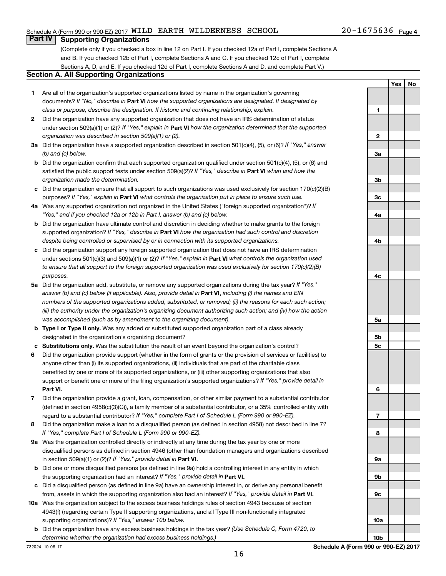**Yes No**

# **Part IV Supporting Organizations**

(Complete only if you checked a box in line 12 on Part I. If you checked 12a of Part I, complete Sections A and B. If you checked 12b of Part I, complete Sections A and C. If you checked 12c of Part I, complete Sections A, D, and E. If you checked 12d of Part I, complete Sections A and D, and complete Part V.)

### **Section A. All Supporting Organizations**

- **1** Are all of the organization's supported organizations listed by name in the organization's governing documents? If "No," describe in Part VI how the supported organizations are designated. If designated by *class or purpose, describe the designation. If historic and continuing relationship, explain.*
- **2** Did the organization have any supported organization that does not have an IRS determination of status under section 509(a)(1) or (2)? If "Yes," explain in Part **VI** how the organization determined that the supported *organization was described in section 509(a)(1) or (2).*
- **3a** Did the organization have a supported organization described in section 501(c)(4), (5), or (6)? If "Yes," answer *(b) and (c) below.*
- **b** Did the organization confirm that each supported organization qualified under section 501(c)(4), (5), or (6) and satisfied the public support tests under section 509(a)(2)? If "Yes," describe in Part VI when and how the *organization made the determination.*
- **c** Did the organization ensure that all support to such organizations was used exclusively for section 170(c)(2)(B) purposes? If "Yes," explain in Part VI what controls the organization put in place to ensure such use.
- **4 a** *If* Was any supported organization not organized in the United States ("foreign supported organization")? *"Yes," and if you checked 12a or 12b in Part I, answer (b) and (c) below.*
- **b** Did the organization have ultimate control and discretion in deciding whether to make grants to the foreign supported organization? If "Yes," describe in Part VI how the organization had such control and discretion *despite being controlled or supervised by or in connection with its supported organizations.*
- **c** Did the organization support any foreign supported organization that does not have an IRS determination under sections 501(c)(3) and 509(a)(1) or (2)? If "Yes," explain in Part VI what controls the organization used *to ensure that all support to the foreign supported organization was used exclusively for section 170(c)(2)(B) purposes.*
- **5a** Did the organization add, substitute, or remove any supported organizations during the tax year? If "Yes," answer (b) and (c) below (if applicable). Also, provide detail in **Part VI,** including (i) the names and EIN *numbers of the supported organizations added, substituted, or removed; (ii) the reasons for each such action; (iii) the authority under the organization's organizing document authorizing such action; and (iv) how the action was accomplished (such as by amendment to the organizing document).*
- **b Type I or Type II only.** Was any added or substituted supported organization part of a class already designated in the organization's organizing document?
- **c Substitutions only.**  Was the substitution the result of an event beyond the organization's control?
- **6** Did the organization provide support (whether in the form of grants or the provision of services or facilities) to **Part VI.** support or benefit one or more of the filing organization's supported organizations? If "Yes," provide detail in anyone other than (i) its supported organizations, (ii) individuals that are part of the charitable class benefited by one or more of its supported organizations, or (iii) other supporting organizations that also
- **7** Did the organization provide a grant, loan, compensation, or other similar payment to a substantial contributor regard to a substantial contributor? If "Yes," complete Part I of Schedule L (Form 990 or 990-EZ). (defined in section 4958(c)(3)(C)), a family member of a substantial contributor, or a 35% controlled entity with
- **8** Did the organization make a loan to a disqualified person (as defined in section 4958) not described in line 7? *If "Yes," complete Part I of Schedule L (Form 990 or 990-EZ).*
- **9 a** Was the organization controlled directly or indirectly at any time during the tax year by one or more in section 509(a)(1) or (2))? If "Yes," provide detail in **Part VI.** disqualified persons as defined in section 4946 (other than foundation managers and organizations described
- **b** Did one or more disqualified persons (as defined in line 9a) hold a controlling interest in any entity in which the supporting organization had an interest? If "Yes," provide detail in Part VI.
- **c** Did a disqualified person (as defined in line 9a) have an ownership interest in, or derive any personal benefit from, assets in which the supporting organization also had an interest? If "Yes," provide detail in Part VI.
- **10 a** Was the organization subject to the excess business holdings rules of section 4943 because of section supporting organizations)? If "Yes," answer 10b below. 4943(f) (regarding certain Type II supporting organizations, and all Type III non-functionally integrated
	- **b** Did the organization have any excess business holdings in the tax year? (Use Schedule C, Form 4720, to *determine whether the organization had excess business holdings.)*

**1 2 3a 3b 3c 4a 4b 4c 5a 5b 5c 6 7 8 9a 9b 9c 10a**

**10b**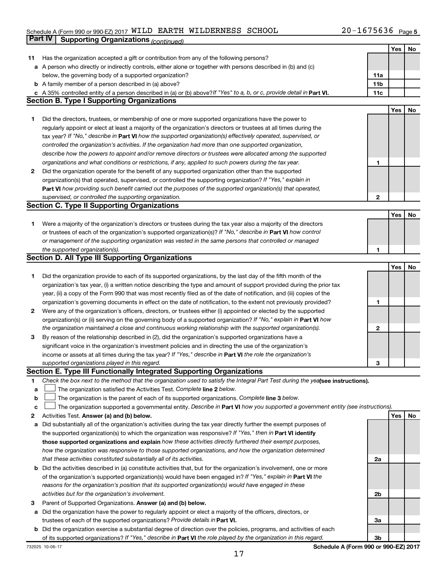# Schedule A (Form 990 or 990-EZ) 2017 WILD EARTH WILDERNESS SCHOOL  $20-1675636$  Page **Part IV Supporting Organizations** *(continued)*

|    |                                                                                                                                 |              | Yes | No |
|----|---------------------------------------------------------------------------------------------------------------------------------|--------------|-----|----|
| 11 | Has the organization accepted a gift or contribution from any of the following persons?                                         |              |     |    |
|    | a A person who directly or indirectly controls, either alone or together with persons described in (b) and (c)                  |              |     |    |
|    | below, the governing body of a supported organization?                                                                          | 11a          |     |    |
|    | <b>b</b> A family member of a person described in (a) above?                                                                    | 11b          |     |    |
| с  | A 35% controlled entity of a person described in (a) or (b) above? If "Yes" to a, b, or c, provide detail in Part VI.           | 11c          |     |    |
|    | <b>Section B. Type I Supporting Organizations</b>                                                                               |              |     |    |
|    |                                                                                                                                 |              | Yes | No |
| 1  | Did the directors, trustees, or membership of one or more supported organizations have the power to                             |              |     |    |
|    | regularly appoint or elect at least a majority of the organization's directors or trustees at all times during the              |              |     |    |
|    | tax year? If "No," describe in Part VI how the supported organization(s) effectively operated, supervised, or                   |              |     |    |
|    | controlled the organization's activities. If the organization had more than one supported organization,                         |              |     |    |
|    | describe how the powers to appoint and/or remove directors or trustees were allocated among the supported                       |              |     |    |
|    | organizations and what conditions or restrictions, if any, applied to such powers during the tax year.                          | 1            |     |    |
| 2  | Did the organization operate for the benefit of any supported organization other than the supported                             |              |     |    |
|    | organization(s) that operated, supervised, or controlled the supporting organization? If "Yes," explain in                      |              |     |    |
|    |                                                                                                                                 |              |     |    |
|    | Part VI how providing such benefit carried out the purposes of the supported organization(s) that operated,                     |              |     |    |
|    | supervised, or controlled the supporting organization.<br><b>Section C. Type II Supporting Organizations</b>                    | $\mathbf{2}$ |     |    |
|    |                                                                                                                                 |              |     |    |
|    |                                                                                                                                 |              | Yes | No |
| 1  | Were a majority of the organization's directors or trustees during the tax year also a majority of the directors                |              |     |    |
|    | or trustees of each of the organization's supported organization(s)? If "No," describe in Part VI how control                   |              |     |    |
|    | or management of the supporting organization was vested in the same persons that controlled or managed                          |              |     |    |
|    | the supported organization(s).                                                                                                  | 1            |     |    |
|    | <b>Section D. All Type III Supporting Organizations</b>                                                                         |              |     |    |
|    |                                                                                                                                 |              | Yes | No |
| 1  | Did the organization provide to each of its supported organizations, by the last day of the fifth month of the                  |              |     |    |
|    | organization's tax year, (i) a written notice describing the type and amount of support provided during the prior tax           |              |     |    |
|    | year, (ii) a copy of the Form 990 that was most recently filed as of the date of notification, and (iii) copies of the          |              |     |    |
|    | organization's governing documents in effect on the date of notification, to the extent not previously provided?                | 1            |     |    |
| 2  | Were any of the organization's officers, directors, or trustees either (i) appointed or elected by the supported                |              |     |    |
|    | organization(s) or (ii) serving on the governing body of a supported organization? If "No," explain in Part VI how              |              |     |    |
|    | the organization maintained a close and continuous working relationship with the supported organization(s).                     | 2            |     |    |
| 3  | By reason of the relationship described in (2), did the organization's supported organizations have a                           |              |     |    |
|    | significant voice in the organization's investment policies and in directing the use of the organization's                      |              |     |    |
|    | income or assets at all times during the tax year? If "Yes," describe in Part VI the role the organization's                    |              |     |    |
|    | supported organizations played in this regard.                                                                                  | З            |     |    |
|    | Section E. Type III Functionally Integrated Supporting Organizations                                                            |              |     |    |
| 1. | Check the box next to the method that the organization used to satisfy the Integral Part Test during the yealsee instructions). |              |     |    |
| a  | The organization satisfied the Activities Test. Complete line 2 below.                                                          |              |     |    |
| b  | The organization is the parent of each of its supported organizations. Complete line 3 below.                                   |              |     |    |
| с  | The organization supported a governmental entity. Describe in Part VI how you supported a government entity (see instructions). |              |     |    |
| 2  | Activities Test. Answer (a) and (b) below.                                                                                      |              | Yes | No |
| а  | Did substantially all of the organization's activities during the tax year directly further the exempt purposes of              |              |     |    |
|    | the supported organization(s) to which the organization was responsive? If "Yes," then in Part VI identify                      |              |     |    |
|    | those supported organizations and explain how these activities directly furthered their exempt purposes,                        |              |     |    |
|    | how the organization was responsive to those supported organizations, and how the organization determined                       |              |     |    |
|    | that these activities constituted substantially all of its activities.                                                          | 2a           |     |    |
| b  | Did the activities described in (a) constitute activities that, but for the organization's involvement, one or more             |              |     |    |
|    | of the organization's supported organization(s) would have been engaged in? If "Yes," explain in Part VI the                    |              |     |    |
|    | reasons for the organization's position that its supported organization(s) would have engaged in these                          |              |     |    |
|    | activities but for the organization's involvement.                                                                              | 2b           |     |    |
| з  | Parent of Supported Organizations. Answer (a) and (b) below.                                                                    |              |     |    |
| а  | Did the organization have the power to regularly appoint or elect a majority of the officers, directors, or                     |              |     |    |
|    | trustees of each of the supported organizations? Provide details in Part VI.                                                    | За           |     |    |
|    | <b>b</b> Did the organization exercise a substantial degree of direction over the policies, programs, and activities of each    |              |     |    |
|    | of its supported organizations? If "Yes," describe in Part VI the role played by the organization in this regard.               | 3b           |     |    |
|    |                                                                                                                                 |              |     |    |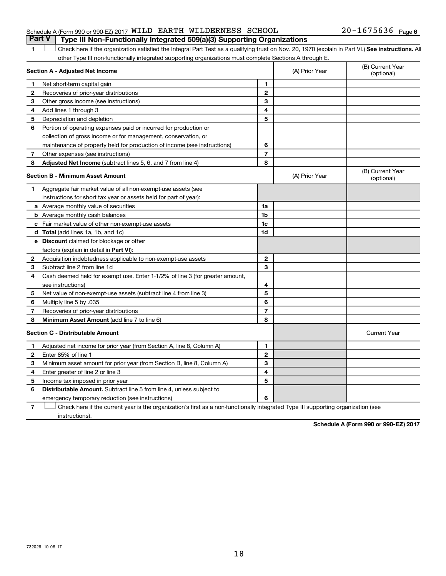### Schedule A (Form 990 or 990-EZ) 2017 WILD EARTH WILDERNESS SCHOOL  $20-1675636$  Page **Part V Type III Non-Functionally Integrated 509(a)(3) Supporting Organizations**

## 1 **Letter See instructions.** All Check here if the organization satisfied the Integral Part Test as a qualifying trust on Nov. 20, 1970 (explain in Part VI.) See instructions. All other Type III non-functionally integrated supporting organizations must complete Sections A through E.

| Section A - Adjusted Net Income |                                                                              |                | (A) Prior Year | (B) Current Year<br>(optional) |
|---------------------------------|------------------------------------------------------------------------------|----------------|----------------|--------------------------------|
| 1                               | Net short-term capital gain                                                  | 1              |                |                                |
| $\overline{2}$                  | Recoveries of prior-year distributions                                       | $\mathbf{2}$   |                |                                |
| 3                               | Other gross income (see instructions)                                        | 3              |                |                                |
| 4                               | Add lines 1 through 3                                                        | 4              |                |                                |
| 5                               | Depreciation and depletion                                                   | 5              |                |                                |
| 6                               | Portion of operating expenses paid or incurred for production or             |                |                |                                |
|                                 | collection of gross income or for management, conservation, or               |                |                |                                |
|                                 | maintenance of property held for production of income (see instructions)     | 6              |                |                                |
| 7                               | Other expenses (see instructions)                                            | $\overline{7}$ |                |                                |
| 8                               | Adjusted Net Income (subtract lines 5, 6, and 7 from line 4)                 | 8              |                |                                |
|                                 | <b>Section B - Minimum Asset Amount</b>                                      |                | (A) Prior Year | (B) Current Year<br>(optional) |
| 1                               | Aggregate fair market value of all non-exempt-use assets (see                |                |                |                                |
|                                 | instructions for short tax year or assets held for part of year):            |                |                |                                |
|                                 | a Average monthly value of securities                                        | 1a             |                |                                |
|                                 | <b>b</b> Average monthly cash balances                                       | 1b             |                |                                |
|                                 | c Fair market value of other non-exempt-use assets                           | 1c             |                |                                |
|                                 | d Total (add lines 1a, 1b, and 1c)                                           | 1d             |                |                                |
|                                 | <b>e</b> Discount claimed for blockage or other                              |                |                |                                |
|                                 | factors (explain in detail in Part VI):                                      |                |                |                                |
| 2                               | Acquisition indebtedness applicable to non-exempt-use assets                 | $\mathbf{2}$   |                |                                |
| З                               | Subtract line 2 from line 1d                                                 | 3              |                |                                |
| 4                               | Cash deemed held for exempt use. Enter 1-1/2% of line 3 (for greater amount, |                |                |                                |
|                                 | see instructions)                                                            | 4              |                |                                |
| 5                               | Net value of non-exempt-use assets (subtract line 4 from line 3)             | 5              |                |                                |
| 6                               | 035. Multiply line 5 by                                                      | 6              |                |                                |
| 7                               | Recoveries of prior-year distributions                                       | $\overline{7}$ |                |                                |
| 8                               | <b>Minimum Asset Amount (add line 7 to line 6)</b>                           | 8              |                |                                |
|                                 | <b>Section C - Distributable Amount</b>                                      |                |                | <b>Current Year</b>            |
| 1                               | Adjusted net income for prior year (from Section A, line 8, Column A)        | 1              |                |                                |
| $\mathbf{2}$                    | Enter 85% of line 1                                                          | $\mathbf{2}$   |                |                                |
| 3                               | Minimum asset amount for prior year (from Section B, line 8, Column A)       | 3              |                |                                |
| 4                               | Enter greater of line 2 or line 3                                            | 4              |                |                                |
| 5                               | Income tax imposed in prior year                                             | 5              |                |                                |
| 6                               | Distributable Amount. Subtract line 5 from line 4, unless subject to         |                |                |                                |
|                                 | emergency temporary reduction (see instructions)                             | 6              |                |                                |
|                                 |                                                                              |                |                |                                |

**7** Check here if the current year is the organization's first as a non-functionally integrated Type III supporting organization (see † instructions).

**Schedule A (Form 990 or 990-EZ) 2017**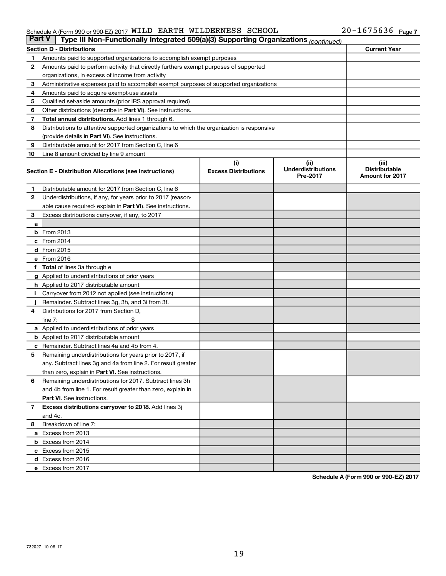#### Schedule A (Form 990 or 990-EZ) 2017 WILLD EARTH WILLDERNESS SCHOOL ZU-I6 / 56 36 Page WILD EARTH WILDERNESS SCHOOL 20-1675636

| <b>Part V</b> | Type III Non-Functionally Integrated 509(a)(3) Supporting Organizations (continued)        |                             |                                       |                                                |  |  |  |
|---------------|--------------------------------------------------------------------------------------------|-----------------------------|---------------------------------------|------------------------------------------------|--|--|--|
|               | <b>Section D - Distributions</b>                                                           |                             |                                       | <b>Current Year</b>                            |  |  |  |
| 1             | Amounts paid to supported organizations to accomplish exempt purposes                      |                             |                                       |                                                |  |  |  |
| 2             | Amounts paid to perform activity that directly furthers exempt purposes of supported       |                             |                                       |                                                |  |  |  |
|               | organizations, in excess of income from activity                                           |                             |                                       |                                                |  |  |  |
| 3             | Administrative expenses paid to accomplish exempt purposes of supported organizations      |                             |                                       |                                                |  |  |  |
| 4             | Amounts paid to acquire exempt-use assets                                                  |                             |                                       |                                                |  |  |  |
| 5             | Qualified set-aside amounts (prior IRS approval required)                                  |                             |                                       |                                                |  |  |  |
| 6             | Other distributions (describe in Part VI). See instructions.                               |                             |                                       |                                                |  |  |  |
| 7             | Total annual distributions. Add lines 1 through 6.                                         |                             |                                       |                                                |  |  |  |
| 8             | Distributions to attentive supported organizations to which the organization is responsive |                             |                                       |                                                |  |  |  |
|               | (provide details in Part VI). See instructions.                                            |                             |                                       |                                                |  |  |  |
| 9             | Distributable amount for 2017 from Section C, line 6                                       |                             |                                       |                                                |  |  |  |
| 10            | Line 8 amount divided by line 9 amount                                                     |                             |                                       |                                                |  |  |  |
|               |                                                                                            | (i)                         | (ii)                                  | (iii)                                          |  |  |  |
|               | Section E - Distribution Allocations (see instructions)                                    | <b>Excess Distributions</b> | <b>Underdistributions</b><br>Pre-2017 | <b>Distributable</b><br><b>Amount for 2017</b> |  |  |  |
| 1.            | Distributable amount for 2017 from Section C, line 6                                       |                             |                                       |                                                |  |  |  |
| $\mathbf{2}$  | Underdistributions, if any, for years prior to 2017 (reason-                               |                             |                                       |                                                |  |  |  |
|               | able cause required- explain in Part VI). See instructions.                                |                             |                                       |                                                |  |  |  |
| 3             | Excess distributions carryover, if any, to 2017                                            |                             |                                       |                                                |  |  |  |
| a             |                                                                                            |                             |                                       |                                                |  |  |  |
|               | <b>b</b> From 2013                                                                         |                             |                                       |                                                |  |  |  |
|               | c From 2014                                                                                |                             |                                       |                                                |  |  |  |
|               | d From 2015                                                                                |                             |                                       |                                                |  |  |  |
|               | e From 2016                                                                                |                             |                                       |                                                |  |  |  |
|               | f Total of lines 3a through e                                                              |                             |                                       |                                                |  |  |  |
|               | <b>g</b> Applied to underdistributions of prior years                                      |                             |                                       |                                                |  |  |  |
|               | <b>h</b> Applied to 2017 distributable amount                                              |                             |                                       |                                                |  |  |  |
|               | Carryover from 2012 not applied (see instructions)                                         |                             |                                       |                                                |  |  |  |
|               | Remainder. Subtract lines 3g, 3h, and 3i from 3f.                                          |                             |                                       |                                                |  |  |  |
| 4             | Distributions for 2017 from Section D,                                                     |                             |                                       |                                                |  |  |  |
|               | $line 7$ :                                                                                 |                             |                                       |                                                |  |  |  |
|               | a Applied to underdistributions of prior years                                             |                             |                                       |                                                |  |  |  |
|               | <b>b</b> Applied to 2017 distributable amount                                              |                             |                                       |                                                |  |  |  |
| с             | Remainder. Subtract lines 4a and 4b from 4.                                                |                             |                                       |                                                |  |  |  |
| 5             | Remaining underdistributions for years prior to 2017, if                                   |                             |                                       |                                                |  |  |  |
|               | any. Subtract lines 3g and 4a from line 2. For result greater                              |                             |                                       |                                                |  |  |  |
|               | than zero, explain in Part VI. See instructions.                                           |                             |                                       |                                                |  |  |  |
| 6             | Remaining underdistributions for 2017. Subtract lines 3h                                   |                             |                                       |                                                |  |  |  |
|               | and 4b from line 1. For result greater than zero, explain in                               |                             |                                       |                                                |  |  |  |
|               | <b>Part VI.</b> See instructions.                                                          |                             |                                       |                                                |  |  |  |
| $\mathbf{7}$  | Excess distributions carryover to 2018. Add lines 3j                                       |                             |                                       |                                                |  |  |  |
|               | and 4c.                                                                                    |                             |                                       |                                                |  |  |  |
| 8             | Breakdown of line 7:                                                                       |                             |                                       |                                                |  |  |  |
|               | a Excess from 2013                                                                         |                             |                                       |                                                |  |  |  |
|               | <b>b</b> Excess from 2014                                                                  |                             |                                       |                                                |  |  |  |
|               | c Excess from 2015                                                                         |                             |                                       |                                                |  |  |  |
|               | d Excess from 2016                                                                         |                             |                                       |                                                |  |  |  |
|               | e Excess from 2017                                                                         |                             |                                       |                                                |  |  |  |

**Schedule A (Form 990 or 990-EZ) 2017**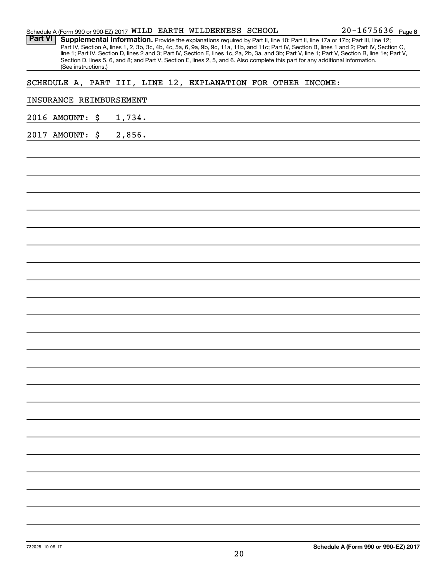| Schedule A (Form 990 or 990-EZ) 2017 WILD EARTH WILDERNESS SCHOOL                                                                                                                                                                                                                                | 20-1675636 Page 8 |
|--------------------------------------------------------------------------------------------------------------------------------------------------------------------------------------------------------------------------------------------------------------------------------------------------|-------------------|
| <b>Part VI</b><br>Supplemental Information. Provide the explanations required by Part II, line 10; Part II, line 17a or 17b; Part III, line 12;                                                                                                                                                  |                   |
| Part IV, Section A, lines 1, 2, 3b, 3c, 4b, 4c, 5a, 6, 9a, 9b, 9c, 11a, 11b, and 11c; Part IV, Section B, lines 1 and 2; Part IV, Section C,<br>line 1; Part IV, Section D, lines 2 and 3; Part IV, Section E, lines 1c, 2a, 2b, 3a, and 3b; Part V, line 1; Part V, Section B, line 1e; Part V, |                   |
| Section D, lines 5, 6, and 8; and Part V, Section E, lines 2, 5, and 6. Also complete this part for any additional information.                                                                                                                                                                  |                   |
| (See instructions.)                                                                                                                                                                                                                                                                              |                   |
| SCHEDULE A, PART III, LINE 12, EXPLANATION FOR OTHER INCOME:                                                                                                                                                                                                                                     |                   |
| INSURANCE REIMBURSEMENT                                                                                                                                                                                                                                                                          |                   |
| 1,734.<br>2016 AMOUNT:<br>\$                                                                                                                                                                                                                                                                     |                   |
| 2,856.<br>2017 AMOUNT:<br>\$                                                                                                                                                                                                                                                                     |                   |
|                                                                                                                                                                                                                                                                                                  |                   |
|                                                                                                                                                                                                                                                                                                  |                   |
|                                                                                                                                                                                                                                                                                                  |                   |
|                                                                                                                                                                                                                                                                                                  |                   |
|                                                                                                                                                                                                                                                                                                  |                   |
|                                                                                                                                                                                                                                                                                                  |                   |
|                                                                                                                                                                                                                                                                                                  |                   |
|                                                                                                                                                                                                                                                                                                  |                   |
|                                                                                                                                                                                                                                                                                                  |                   |
|                                                                                                                                                                                                                                                                                                  |                   |
|                                                                                                                                                                                                                                                                                                  |                   |
|                                                                                                                                                                                                                                                                                                  |                   |
|                                                                                                                                                                                                                                                                                                  |                   |
|                                                                                                                                                                                                                                                                                                  |                   |
|                                                                                                                                                                                                                                                                                                  |                   |
|                                                                                                                                                                                                                                                                                                  |                   |
|                                                                                                                                                                                                                                                                                                  |                   |
|                                                                                                                                                                                                                                                                                                  |                   |
|                                                                                                                                                                                                                                                                                                  |                   |
|                                                                                                                                                                                                                                                                                                  |                   |
|                                                                                                                                                                                                                                                                                                  |                   |
|                                                                                                                                                                                                                                                                                                  |                   |
|                                                                                                                                                                                                                                                                                                  |                   |
|                                                                                                                                                                                                                                                                                                  |                   |
|                                                                                                                                                                                                                                                                                                  |                   |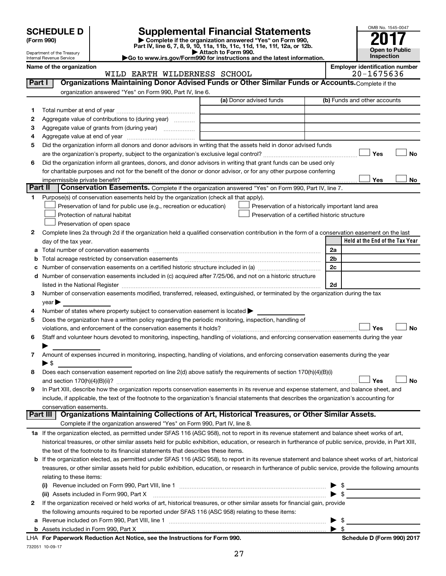| <b>SCHEDULE D</b> |  |
|-------------------|--|
|-------------------|--|

Department of the Treasury Internal Revenue Service

| (Form 990) |
|------------|
|            |

# **SCHEDULE D Supplemental Financial Statements**<br> **Form 990 2017**<br> **Part IV** line 6.7.8.9.10, 11a, 11b, 11d, 11d, 11d, 11d, 11d, 12a, 0r, 12b

**(Form 990) | Complete if the organization answered "Yes" on Form 990, Part IV, line 6, 7, 8, 9, 10, 11a, 11b, 11c, 11d, 11e, 11f, 12a, or 12b.**

**| Attach to Form 990. |Go to www.irs.gov/Form990 for instructions and the latest information.**



 $\overline{\phantom{0}}$ 

#### **Name of the organization Employer identification number** WILDERNESS SCHOOL

|         | MILD EARIH WILDERNESS SCHOOL                                                                                                                               |                                                    | 701012020                       |
|---------|------------------------------------------------------------------------------------------------------------------------------------------------------------|----------------------------------------------------|---------------------------------|
| Part I  | Organizations Maintaining Donor Advised Funds or Other Similar Funds or Accounts. Complete if the                                                          |                                                    |                                 |
|         | organization answered "Yes" on Form 990, Part IV, line 6.                                                                                                  |                                                    |                                 |
|         |                                                                                                                                                            | (a) Donor advised funds                            | (b) Funds and other accounts    |
| 1       | Total number at end of year <i>manually communically communical</i>                                                                                        |                                                    |                                 |
| 2       | Aggregate value of contributions to (during year)                                                                                                          |                                                    |                                 |
| 3       | Aggregate value of grants from (during year)                                                                                                               |                                                    |                                 |
| 4       |                                                                                                                                                            |                                                    |                                 |
| 5       | Did the organization inform all donors and donor advisors in writing that the assets held in donor advised funds                                           |                                                    |                                 |
|         |                                                                                                                                                            |                                                    | Yes<br>No                       |
| 6       | Did the organization inform all grantees, donors, and donor advisors in writing that grant funds can be used only                                          |                                                    |                                 |
|         | for charitable purposes and not for the benefit of the donor or donor advisor, or for any other purpose conferring                                         |                                                    |                                 |
|         | impermissible private benefit?                                                                                                                             |                                                    | Yes<br>No                       |
| Part II | Conservation Easements. Complete if the organization answered "Yes" on Form 990, Part IV, line 7.                                                          |                                                    |                                 |
| 1       | Purpose(s) of conservation easements held by the organization (check all that apply).                                                                      |                                                    |                                 |
|         | Preservation of land for public use (e.g., recreation or education)                                                                                        | Preservation of a historically important land area |                                 |
|         | Protection of natural habitat                                                                                                                              | Preservation of a certified historic structure     |                                 |
|         | Preservation of open space                                                                                                                                 |                                                    |                                 |
| 2       | Complete lines 2a through 2d if the organization held a qualified conservation contribution in the form of a conservation easement on the last             |                                                    |                                 |
|         | day of the tax year.                                                                                                                                       |                                                    | Held at the End of the Tax Year |
|         | a Total number of conservation easements                                                                                                                   |                                                    | 2a                              |
|         | <b>b</b> Total acreage restricted by conservation easements                                                                                                |                                                    | 2b                              |
|         | c Number of conservation easements on a certified historic structure included in (a) manufacture included in (a)                                           |                                                    | 2c                              |
|         | d Number of conservation easements included in (c) acquired after 7/25/06, and not on a historic structure                                                 |                                                    |                                 |
|         |                                                                                                                                                            |                                                    | 2d                              |
| З       | Number of conservation easements modified, transferred, released, extinguished, or terminated by the organization during the tax                           |                                                    |                                 |
|         | year                                                                                                                                                       |                                                    |                                 |
| 4       | Number of states where property subject to conservation easement is located >                                                                              |                                                    |                                 |
| 5       | Does the organization have a written policy regarding the periodic monitoring, inspection, handling of                                                     |                                                    |                                 |
|         |                                                                                                                                                            |                                                    | Yes<br><b>No</b>                |
| 6       | Staff and volunteer hours devoted to monitoring, inspecting, handling of violations, and enforcing conservation easements during the year                  |                                                    |                                 |
|         |                                                                                                                                                            |                                                    |                                 |
| 7       | Amount of expenses incurred in monitoring, inspecting, handling of violations, and enforcing conservation easements during the year                        |                                                    |                                 |
|         | $\blacktriangleright$ \$                                                                                                                                   |                                                    |                                 |
| 8       | Does each conservation easement reported on line 2(d) above satisfy the requirements of section 170(h)(4)(B)(i)                                            |                                                    |                                 |
|         |                                                                                                                                                            |                                                    | <b>No</b><br>Yes                |
| 9       | In Part XIII, describe how the organization reports conservation easements in its revenue and expense statement, and balance sheet, and                    |                                                    |                                 |
|         | include, if applicable, the text of the footnote to the organization's financial statements that describes the organization's accounting for               |                                                    |                                 |
|         | conservation easements.                                                                                                                                    |                                                    |                                 |
|         | Organizations Maintaining Collections of Art, Historical Treasures, or Other Similar Assets.<br>Part III                                                   |                                                    |                                 |
|         | Complete if the organization answered "Yes" on Form 990, Part IV, line 8.                                                                                  |                                                    |                                 |
|         | 1a If the organization elected, as permitted under SFAS 116 (ASC 958), not to report in its revenue statement and balance sheet works of art,              |                                                    |                                 |
|         | historical treasures, or other similar assets held for public exhibition, education, or research in furtherance of public service, provide, in Part XIII,  |                                                    |                                 |
|         | the text of the footnote to its financial statements that describes these items.                                                                           |                                                    |                                 |
|         | <b>b</b> If the organization elected, as permitted under SFAS 116 (ASC 958), to report in its revenue statement and balance sheet works of art, historical |                                                    |                                 |
|         | treasures, or other similar assets held for public exhibition, education, or research in furtherance of public service, provide the following amounts      |                                                    |                                 |
|         | relating to these items:                                                                                                                                   |                                                    |                                 |
|         |                                                                                                                                                            |                                                    | $\triangleright$ \$             |
|         | (ii) Assets included in Form 990, Part X                                                                                                                   |                                                    | $\blacktriangleright$ \$        |
| 2       | If the organization received or held works of art, historical treasures, or other similar assets for financial gain, provide                               |                                                    |                                 |
|         | the following amounts required to be reported under SFAS 116 (ASC 958) relating to these items:                                                            |                                                    |                                 |
| а       |                                                                                                                                                            |                                                    | $\blacktriangleright$ \$        |
|         |                                                                                                                                                            |                                                    | $\blacktriangleright$ \$        |

732051 10-09-17 **For Paperwork Reduction Act Notice, see the Instructions for Form 990. Schedule D (Form 990) 2017** LHA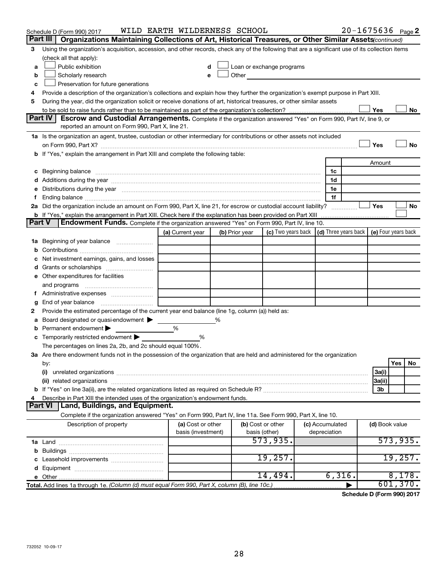|   | Schedule D (Form 990) 2017                                                                                                                                                                                                     | WILD EARTH WILDERNESS SCHOOL            |  |                                                                                                                                                                                                                               |                                                                             |  |                                 |                | $20 - 1675636$ Page 2 |
|---|--------------------------------------------------------------------------------------------------------------------------------------------------------------------------------------------------------------------------------|-----------------------------------------|--|-------------------------------------------------------------------------------------------------------------------------------------------------------------------------------------------------------------------------------|-----------------------------------------------------------------------------|--|---------------------------------|----------------|-----------------------|
|   | Part III<br>Organizations Maintaining Collections of Art, Historical Treasures, or Other Similar Assets (continued)                                                                                                            |                                         |  |                                                                                                                                                                                                                               |                                                                             |  |                                 |                |                       |
| 3 | Using the organization's acquisition, accession, and other records, check any of the following that are a significant use of its collection items                                                                              |                                         |  |                                                                                                                                                                                                                               |                                                                             |  |                                 |                |                       |
|   | (check all that apply):                                                                                                                                                                                                        |                                         |  |                                                                                                                                                                                                                               |                                                                             |  |                                 |                |                       |
| a | Public exhibition                                                                                                                                                                                                              | d                                       |  | Loan or exchange programs                                                                                                                                                                                                     |                                                                             |  |                                 |                |                       |
| b | Scholarly research                                                                                                                                                                                                             |                                         |  | Other and the contract of the contract of the contract of the contract of the contract of the contract of the contract of the contract of the contract of the contract of the contract of the contract of the contract of the |                                                                             |  |                                 |                |                       |
| с | Preservation for future generations                                                                                                                                                                                            |                                         |  |                                                                                                                                                                                                                               |                                                                             |  |                                 |                |                       |
| 4 | Provide a description of the organization's collections and explain how they further the organization's exempt purpose in Part XIII.                                                                                           |                                         |  |                                                                                                                                                                                                                               |                                                                             |  |                                 |                |                       |
| 5 | During the year, did the organization solicit or receive donations of art, historical treasures, or other similar assets                                                                                                       |                                         |  |                                                                                                                                                                                                                               |                                                                             |  |                                 |                |                       |
|   |                                                                                                                                                                                                                                |                                         |  |                                                                                                                                                                                                                               |                                                                             |  |                                 | Yes            | No                    |
|   | Part IV I<br><b>Escrow and Custodial Arrangements.</b> Complete if the organization answered "Yes" on Form 990, Part IV, line 9, or<br>reported an amount on Form 990, Part X, line 21.                                        |                                         |  |                                                                                                                                                                                                                               |                                                                             |  |                                 |                |                       |
|   | 1a Is the organization an agent, trustee, custodian or other intermediary for contributions or other assets not included                                                                                                       |                                         |  |                                                                                                                                                                                                                               |                                                                             |  |                                 |                |                       |
|   |                                                                                                                                                                                                                                |                                         |  |                                                                                                                                                                                                                               |                                                                             |  |                                 | Yes            | <b>No</b>             |
|   | b If "Yes," explain the arrangement in Part XIII and complete the following table:                                                                                                                                             |                                         |  |                                                                                                                                                                                                                               |                                                                             |  |                                 |                |                       |
|   |                                                                                                                                                                                                                                |                                         |  |                                                                                                                                                                                                                               |                                                                             |  |                                 | Amount         |                       |
|   |                                                                                                                                                                                                                                |                                         |  |                                                                                                                                                                                                                               |                                                                             |  | 1c                              |                |                       |
|   |                                                                                                                                                                                                                                |                                         |  |                                                                                                                                                                                                                               |                                                                             |  | 1d                              |                |                       |
|   | e Distributions during the year measurement contained and all the control of the set of the set of the set of the set of the set of the set of the set of the set of the set of the set of the set of the set of the set of th |                                         |  |                                                                                                                                                                                                                               |                                                                             |  | 1e                              |                |                       |
|   |                                                                                                                                                                                                                                |                                         |  |                                                                                                                                                                                                                               |                                                                             |  | 1f                              |                |                       |
|   | 2a Did the organization include an amount on Form 990, Part X, line 21, for escrow or custodial account liability?                                                                                                             |                                         |  |                                                                                                                                                                                                                               |                                                                             |  |                                 | Yes            | No                    |
|   | <b>b</b> If "Yes," explain the arrangement in Part XIII. Check here if the explanation has been provided on Part XIII                                                                                                          |                                         |  |                                                                                                                                                                                                                               |                                                                             |  |                                 |                |                       |
|   | <b>Part V</b><br><b>Endowment Funds.</b> Complete if the organization answered "Yes" on Form 990, Part IV, line 10.                                                                                                            |                                         |  |                                                                                                                                                                                                                               |                                                                             |  |                                 |                |                       |
|   |                                                                                                                                                                                                                                | (a) Current year                        |  | (b) Prior year                                                                                                                                                                                                                | (c) Two years back $\vert$ (d) Three years back $\vert$ (e) Four years back |  |                                 |                |                       |
|   | 1a Beginning of year balance                                                                                                                                                                                                   |                                         |  |                                                                                                                                                                                                                               |                                                                             |  |                                 |                |                       |
| b |                                                                                                                                                                                                                                |                                         |  |                                                                                                                                                                                                                               |                                                                             |  |                                 |                |                       |
| с | Net investment earnings, gains, and losses                                                                                                                                                                                     |                                         |  |                                                                                                                                                                                                                               |                                                                             |  |                                 |                |                       |
|   |                                                                                                                                                                                                                                |                                         |  |                                                                                                                                                                                                                               |                                                                             |  |                                 |                |                       |
|   | e Other expenditures for facilities                                                                                                                                                                                            |                                         |  |                                                                                                                                                                                                                               |                                                                             |  |                                 |                |                       |
|   | and programs                                                                                                                                                                                                                   |                                         |  |                                                                                                                                                                                                                               |                                                                             |  |                                 |                |                       |
|   |                                                                                                                                                                                                                                |                                         |  |                                                                                                                                                                                                                               |                                                                             |  |                                 |                |                       |
| g |                                                                                                                                                                                                                                |                                         |  |                                                                                                                                                                                                                               |                                                                             |  |                                 |                |                       |
| 2 | Provide the estimated percentage of the current year end balance (line 1g, column (a)) held as:                                                                                                                                |                                         |  |                                                                                                                                                                                                                               |                                                                             |  |                                 |                |                       |
|   | Board designated or quasi-endowment ><br>%<br>а                                                                                                                                                                                |                                         |  |                                                                                                                                                                                                                               |                                                                             |  |                                 |                |                       |
| b | Permanent endowment                                                                                                                                                                                                            | %                                       |  |                                                                                                                                                                                                                               |                                                                             |  |                                 |                |                       |
|   | <b>c</b> Temporarily restricted endowment $\blacktriangleright$                                                                                                                                                                | %                                       |  |                                                                                                                                                                                                                               |                                                                             |  |                                 |                |                       |
|   | The percentages on lines 2a, 2b, and 2c should equal 100%.                                                                                                                                                                     |                                         |  |                                                                                                                                                                                                                               |                                                                             |  |                                 |                |                       |
|   | 3a Are there endowment funds not in the possession of the organization that are held and administered for the organization                                                                                                     |                                         |  |                                                                                                                                                                                                                               |                                                                             |  |                                 |                |                       |
|   | by:                                                                                                                                                                                                                            |                                         |  |                                                                                                                                                                                                                               |                                                                             |  |                                 |                | Yes<br>No             |
|   | (i)                                                                                                                                                                                                                            |                                         |  |                                                                                                                                                                                                                               |                                                                             |  |                                 | 3a(i)          |                       |
|   |                                                                                                                                                                                                                                |                                         |  |                                                                                                                                                                                                                               |                                                                             |  |                                 | 3a(ii)         |                       |
|   |                                                                                                                                                                                                                                |                                         |  |                                                                                                                                                                                                                               |                                                                             |  |                                 | 3b             |                       |
| 4 | Describe in Part XIII the intended uses of the organization's endowment funds.                                                                                                                                                 |                                         |  |                                                                                                                                                                                                                               |                                                                             |  |                                 |                |                       |
|   | Land, Buildings, and Equipment.<br><b>Part VI</b><br>Complete if the organization answered "Yes" on Form 990, Part IV, line 11a. See Form 990, Part X, line 10.                                                                |                                         |  |                                                                                                                                                                                                                               |                                                                             |  |                                 |                |                       |
|   |                                                                                                                                                                                                                                |                                         |  |                                                                                                                                                                                                                               |                                                                             |  |                                 |                |                       |
|   | Description of property                                                                                                                                                                                                        | (a) Cost or other<br>basis (investment) |  | (b) Cost or other<br>basis (other)                                                                                                                                                                                            |                                                                             |  | (c) Accumulated<br>depreciation | (d) Book value |                       |
|   |                                                                                                                                                                                                                                |                                         |  |                                                                                                                                                                                                                               | 573,935.                                                                    |  |                                 |                | 573,935.              |
|   |                                                                                                                                                                                                                                |                                         |  |                                                                                                                                                                                                                               |                                                                             |  |                                 |                |                       |
|   |                                                                                                                                                                                                                                |                                         |  |                                                                                                                                                                                                                               | 19,257.                                                                     |  |                                 |                | 19,257.               |
|   |                                                                                                                                                                                                                                |                                         |  |                                                                                                                                                                                                                               |                                                                             |  |                                 |                |                       |
|   |                                                                                                                                                                                                                                |                                         |  |                                                                                                                                                                                                                               | 14,494.                                                                     |  | 6,316.                          |                | 8,178.                |
|   | Total. Add lines 1a through 1e. (Column (d) must equal Form 990, Part X, column (B), line 10c.)                                                                                                                                |                                         |  |                                                                                                                                                                                                                               |                                                                             |  |                                 |                | 601,370.              |

**Schedule D (Form 990) 2017**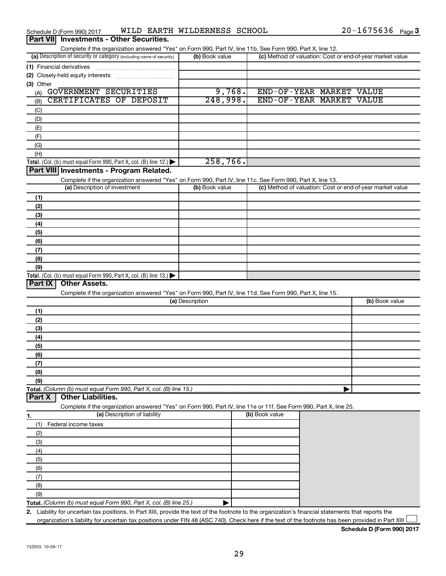| Schedule D (Form 990) 2017                      | WILD | EARTH WILDERNESS SCHOOL | 1675636<br>$20 -$ | Page 3 |
|-------------------------------------------------|------|-------------------------|-------------------|--------|
| <b>Part VII</b> Investments - Other Securities. |      |                         |                   |        |

| Complete if the organization answered "Yes" on Form 990, Part IV, line 11b. See Form 990, Part X, line 12.                                           |                 |                                                           |                |
|------------------------------------------------------------------------------------------------------------------------------------------------------|-----------------|-----------------------------------------------------------|----------------|
| (a) Description of security or category (including name of security)                                                                                 | (b) Book value  | (c) Method of valuation: Cost or end-of-year market value |                |
| (1) Financial derivatives                                                                                                                            |                 |                                                           |                |
|                                                                                                                                                      |                 |                                                           |                |
| (3) Other                                                                                                                                            |                 |                                                           |                |
| GOVERNMENT SECURITIES<br>(A)                                                                                                                         | 9,768.          | END-OF-YEAR MARKET VALUE                                  |                |
| CERTIFICATES OF DEPOSIT<br>(B)                                                                                                                       | 248,998.        | END-OF-YEAR MARKET VALUE                                  |                |
| (C)                                                                                                                                                  |                 |                                                           |                |
| (D)                                                                                                                                                  |                 |                                                           |                |
| (E)                                                                                                                                                  |                 |                                                           |                |
| (F)                                                                                                                                                  |                 |                                                           |                |
| (G)                                                                                                                                                  |                 |                                                           |                |
| (H)                                                                                                                                                  |                 |                                                           |                |
| <b>Total.</b> (Col. (b) must equal Form 990, Part X, col. (B) line $12$ .)                                                                           | 258,766.        |                                                           |                |
| Part VIII Investments - Program Related.                                                                                                             |                 |                                                           |                |
| Complete if the organization answered "Yes" on Form 990, Part IV, line 11c. See Form 990, Part X, line 13.                                           |                 |                                                           |                |
| (a) Description of investment                                                                                                                        | (b) Book value  | (c) Method of valuation: Cost or end-of-year market value |                |
| (1)                                                                                                                                                  |                 |                                                           |                |
| (2)                                                                                                                                                  |                 |                                                           |                |
| (3)                                                                                                                                                  |                 |                                                           |                |
| (4)                                                                                                                                                  |                 |                                                           |                |
| (5)                                                                                                                                                  |                 |                                                           |                |
| (6)                                                                                                                                                  |                 |                                                           |                |
| (7)                                                                                                                                                  |                 |                                                           |                |
| (8)                                                                                                                                                  |                 |                                                           |                |
| (9)                                                                                                                                                  |                 |                                                           |                |
| <b>Total.</b> (Col. (b) must equal Form 990, Part X, col. (B) line $13$ .)                                                                           |                 |                                                           |                |
| Part IX<br><b>Other Assets.</b>                                                                                                                      |                 |                                                           |                |
| Complete if the organization answered "Yes" on Form 990, Part IV, line 11d. See Form 990, Part X, line 15.                                           | (a) Description |                                                           | (b) Book value |
|                                                                                                                                                      |                 |                                                           |                |
| (1)                                                                                                                                                  |                 |                                                           |                |
| (2)                                                                                                                                                  |                 |                                                           |                |
| (3)                                                                                                                                                  |                 |                                                           |                |
| (4)                                                                                                                                                  |                 |                                                           |                |
| (5)                                                                                                                                                  |                 |                                                           |                |
| (6)                                                                                                                                                  |                 |                                                           |                |
| (7)                                                                                                                                                  |                 |                                                           |                |
| (8)                                                                                                                                                  |                 |                                                           |                |
| (9)<br>Total. (Column (b) must equal Form 990, Part X, col. (B) line 15.)                                                                            |                 |                                                           |                |
| <b>Other Liabilities.</b><br>Part X                                                                                                                  |                 |                                                           |                |
| Complete if the organization answered "Yes" on Form 990, Part IV, line 11e or 11f. See Form 990, Part X, line 25.                                    |                 |                                                           |                |
| (a) Description of liability<br>1.                                                                                                                   |                 | (b) Book value                                            |                |
| Federal income taxes<br>(1)                                                                                                                          |                 |                                                           |                |
| (2)                                                                                                                                                  |                 |                                                           |                |
| (3)                                                                                                                                                  |                 |                                                           |                |
| (4)                                                                                                                                                  |                 |                                                           |                |
| (5)                                                                                                                                                  |                 |                                                           |                |
| (6)                                                                                                                                                  |                 |                                                           |                |
| (7)                                                                                                                                                  |                 |                                                           |                |
| (8)                                                                                                                                                  |                 |                                                           |                |
| (9)                                                                                                                                                  |                 |                                                           |                |
| Total. (Column (b) must equal Form 990, Part X, col. (B) line 25.)                                                                                   |                 |                                                           |                |
| 2. Liability for uncertain tax positions. In Part XIII, provide the text of the footnote to the organization's financial statements that reports the |                 |                                                           |                |
| organization's liability for uncertain tax positions under FIN 48 (ASC 740). Check here if the text of the footnote has been provided in Part XIII   |                 |                                                           |                |

**Schedule D (Form 990) 2017**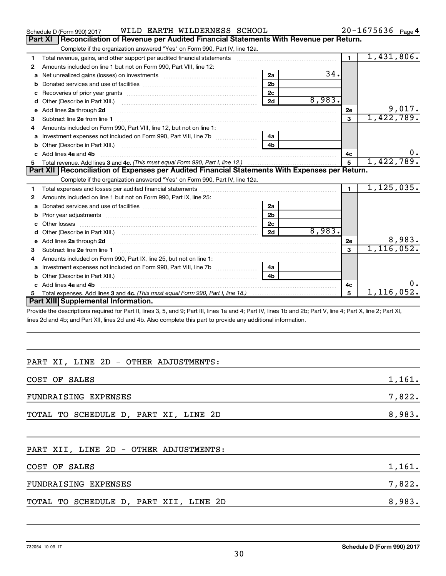|   | WILD EARTH WILDERNESS SCHOOL<br>Schedule D (Form 990) 2017                                                              |                |        |                | $20 - 1675636$ Page 4 |
|---|-------------------------------------------------------------------------------------------------------------------------|----------------|--------|----------------|-----------------------|
|   | Reconciliation of Revenue per Audited Financial Statements With Revenue per Return.<br><b>Part XI</b>                   |                |        |                |                       |
|   | Complete if the organization answered "Yes" on Form 990, Part IV, line 12a.                                             |                |        |                |                       |
| 1 | Total revenue, gains, and other support per audited financial statements                                                |                |        | $\blacksquare$ | 1,431,806.            |
| 2 | Amounts included on line 1 but not on Form 990, Part VIII, line 12:                                                     |                |        |                |                       |
| a |                                                                                                                         | 2a             | 34.    |                |                       |
|   |                                                                                                                         | 2 <sub>b</sub> |        |                |                       |
| c |                                                                                                                         | 2 <sub>c</sub> |        |                |                       |
| d | Other (Describe in Part XIII.) (2000) (2000) (2000) (2010) (2010) (2010) (2010) (2010) (2010) (2010) (2010) (20         | 2d             | 8,983. |                |                       |
| e | Add lines 2a through 2d                                                                                                 |                |        | <b>2e</b>      | 9,017.                |
| З |                                                                                                                         |                |        | 3              | 1,422,789.            |
| 4 | Amounts included on Form 990, Part VIII, line 12, but not on line 1:                                                    |                |        |                |                       |
| a | Investment expenses not included on Form 990, Part VIII, line 7b [11, 11, 1200, 13] 4a                                  |                |        |                |                       |
|   | Other (Describe in Part XIII.) (2000) (2000) (2000) (2010) (2010) (2010) (2010) (2010) (2010) (2010) (2010) (20         | 4b             |        |                |                       |
|   | c Add lines 4a and 4b                                                                                                   |                |        | 4с             | 0.                    |
| 5 |                                                                                                                         |                |        | 5              | 1,422,789.            |
|   |                                                                                                                         |                |        |                |                       |
|   | Part XII   Reconciliation of Expenses per Audited Financial Statements With Expenses per Return.                        |                |        |                |                       |
|   | Complete if the organization answered "Yes" on Form 990, Part IV, line 12a.                                             |                |        |                |                       |
| 1 |                                                                                                                         |                |        | $\mathbf{1}$   | 1, 125, 035.          |
| 2 | Amounts included on line 1 but not on Form 990, Part IX, line 25:                                                       |                |        |                |                       |
| a |                                                                                                                         | 2a             |        |                |                       |
| b |                                                                                                                         | 2 <sub>b</sub> |        |                |                       |
|   | Other losses                                                                                                            | 2c             |        |                |                       |
| d |                                                                                                                         | 2d             | 8,983. |                |                       |
| e |                                                                                                                         |                |        | 2e             | 8,983.                |
| з | Add lines 2a through 2d <b>continuum contract and all contract and all contract and all contract and all contract a</b> |                |        | $\mathbf{a}$   | 1, 116, 052.          |
| 4 | Amounts included on Form 990, Part IX, line 25, but not on line 1:                                                      |                |        |                |                       |
| a |                                                                                                                         | 4a             |        |                |                       |
|   | Other (Describe in Part XIII.)                                                                                          | 4 <sub>b</sub> |        |                |                       |
|   | Add lines 4a and 4b                                                                                                     |                |        | 4c             | 0.                    |
| 5 |                                                                                                                         |                |        | 5              | 1,116,052.            |
|   | Part XIII Supplemental Information.                                                                                     |                |        |                |                       |

Provide the descriptions required for Part II, lines 3, 5, and 9; Part III, lines 1a and 4; Part IV, lines 1b and 2b; Part V, line 4; Part X, line 2; Part XI, lines 2d and 4b; and Part XII, lines 2d and 4b. Also complete this part to provide any additional information.

# PART XI, LINE 2D - OTHER ADJUSTMENTS:

| COST OF SALES                         | 1,161. |
|---------------------------------------|--------|
| FUNDRAISING EXPENSES                  | 7,822. |
| TOTAL TO SCHEDULE D, PART XI, LINE 2D | 8,983. |

# PART XII, LINE 2D - OTHER ADJUSTMENTS:

| COST OF SALES                          | 1,161. |
|----------------------------------------|--------|
| FUNDRAISING EXPENSES                   | 7,822. |
| TOTAL TO SCHEDULE D, PART XII, LINE 2D | 8,983. |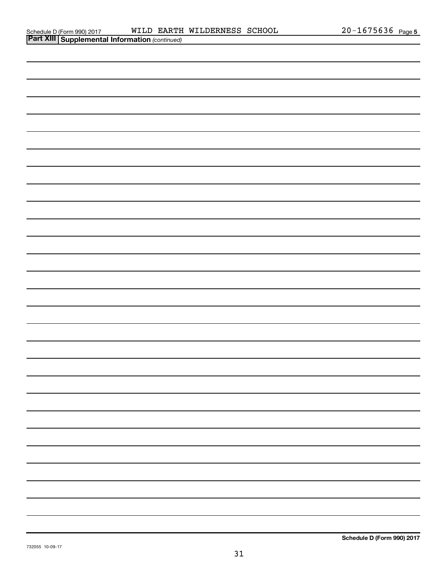| <b>Part XIII   Supplemental Information (continued)</b> |
|---------------------------------------------------------|
|                                                         |
|                                                         |
|                                                         |
|                                                         |
|                                                         |
|                                                         |
|                                                         |
|                                                         |
|                                                         |
|                                                         |
|                                                         |
|                                                         |
|                                                         |
|                                                         |
|                                                         |
|                                                         |
|                                                         |
|                                                         |
|                                                         |
|                                                         |
|                                                         |
|                                                         |
|                                                         |
|                                                         |
|                                                         |
|                                                         |
|                                                         |